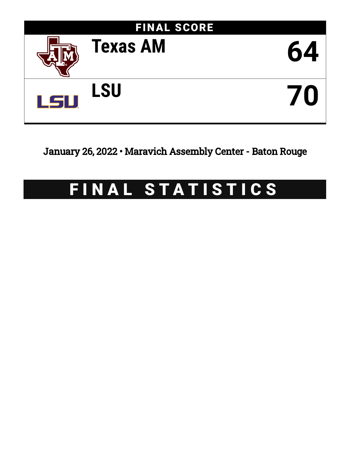

January 26, 2022 • Maravich Assembly Center - Baton Rouge

# FINAL STATISTICS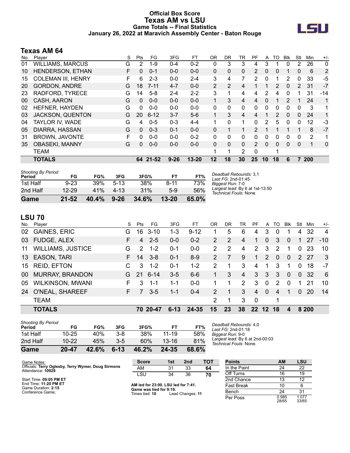### **Official Box Score Texas AM vs LSU Game Totals -- Final Statistics January 26, 2022 at Maravich Assembly Center - Baton Rouge**



# **Texas AM 64**

| No. | Player                    | S | Pts      | FG       | 3FG      | FT        | 0R | <b>DR</b> | TR             | PF       | A              | TO       | <b>Blk</b> | Stl            | Min | $+/-$ |
|-----|---------------------------|---|----------|----------|----------|-----------|----|-----------|----------------|----------|----------------|----------|------------|----------------|-----|-------|
| 01  | <b>WILLIAMS, MARCUS</b>   | G | 2        | $1 - 9$  | $0 - 4$  | $0 - 2$   | 0  | 3         | 3              | 4        | 3              |          | $\Omega$   | 2              | 26  | 0     |
| 10  | HENDERSON, ETHAN          | F | $\Omega$ | $0 - 1$  | $0 - 0$  | $0 - 0$   | 0  | 0         | $\mathbf 0$    | 2        | 0              | 0        |            | 0              | 6   | 2     |
| 15  | <b>COLEMAN III, HENRY</b> | F | 6        | $2 - 3$  | $0 - 0$  | $2 - 4$   | 3  | 4         | 7              | 2        | 0              | 1        | 2          | $\Omega$       | 33  | -5    |
| 20  | <b>GORDON, ANDRE</b>      | G | 18       | $7 - 11$ | $4 - 7$  | $0 - 0$   | 2  | 2         | 4              |          |                | 2        | 0          | $\overline{2}$ | 31  | $-7$  |
| 23  | RADFORD, TYRECE           | G | 14       | $5-8$    | $2 - 4$  | $2 - 2$   | 3  | 1         | 4              | 4        | 2              | 4        | 0          |                | 31  | -14   |
| 00  | CASH, AARON               | G | 0        | $0 - 0$  | $0 - 0$  | $0 - 0$   | 1  | 3         | 4              | 4        | 0              |          | 2          |                | 24  | 1     |
| 02  | HEFNER, HAYDEN            | G | 0        | $0 - 0$  | $0 - 0$  | $0-0$     | 0  | 0         | $\Omega$       | $\Omega$ | 0              | $\Omega$ | $\Omega$   | 0              | 3   | 1     |
| 03  | <b>JACKSON, QUENTON</b>   | G | 20       | $6 - 12$ | $3 - 7$  | $5-6$     |    | 3         | 4              | 4        |                | 2        | $\Omega$   | $\Omega$       | 24  | 1     |
| 04  | TAYLOR IV, WADE           | G | 4        | $0 - 5$  | $0 - 3$  | $4 - 4$   | 1  | $\Omega$  | 1              | $\Omega$ | $\overline{2}$ | 5        | $\Omega$   | 0              | 12  | $-3$  |
| 05  | DIARRA, HASSAN            | G | $\Omega$ | $0 - 3$  | $0 - 1$  | $0 - 0$   | 0  | 1         | 1              | 2        |                |          |            | 1              | 8   | $-7$  |
| 31  | <b>BROWN, JAVONTE</b>     | F | 0        | $0 - 0$  | $0 - 0$  | $0 - 2$   | 0  | $\Omega$  | $\Omega$       | $\Omega$ | 0              | $\Omega$ | 0          | $\Omega$       | 2   | 1     |
| 35  | <b>OBASEKI, MANNY</b>     | G | 0        | $0 - 0$  | $0 - 0$  | $0 - 0$   | 0  | 0         | $\Omega$       | 2        | 0              | $\Omega$ | 0          | 0              | 1   | 0     |
|     | <b>TEAM</b>               |   |          |          |          |           | 1  | 1         | $\overline{2}$ | $\Omega$ |                | 1        |            |                |     |       |
|     | <b>TOTALS</b>             |   |          | 64 21-52 | $9 - 26$ | $13 - 20$ | 12 | 18        | 30             | 25       | 10             | 18       | 6          |                | 200 |       |

| <b>Shooting By Period</b><br>Period | FG        | FG%   | 3FG       | 3FG%  | FT        | FT%   | Deadball Rebounds: 3,1<br>Last FG: 2nd-01:45              |
|-------------------------------------|-----------|-------|-----------|-------|-----------|-------|-----------------------------------------------------------|
| 1st Half                            | $9 - 23$  | 39%   | $5-13$    | 38%   | $8 - 11$  | 73%   | Biggest Run: 7-0                                          |
| 2nd Half                            | $12 - 29$ | 41%   | $4 - 1.3$ | 31%   | $5-9$     | 56%   | Largest lead: By 6 at 1st-13:50<br>Technical Fouls: None. |
| Game                                | $21 - 52$ | 40.4% | $9 - 26$  | 34.6% | $13 - 20$ | 65.0% |                                                           |

# **LSU 70**

| No. | Player                   | S. | Pts           | FG       | 3FG      | FT       | 0R             | DR. | TR             | PF                    | A               | TO.            | <b>BIK</b> | Stl          | Min   | $+/-$          |
|-----|--------------------------|----|---------------|----------|----------|----------|----------------|-----|----------------|-----------------------|-----------------|----------------|------------|--------------|-------|----------------|
| 02  | <b>GAINES, ERIC</b>      | G. | 16            | $3 - 10$ | $1 - 3$  | $9 - 12$ |                | 5   | 6              | 4                     | 3               | 0              |            | 4            | 32    | $\overline{4}$ |
| 03  | <b>FUDGE, ALEX</b>       | F. | 4             | $2 - 5$  | $0 - 0$  | $0 - 2$  | $\mathcal{P}$  | 2   | 4              | 1                     | $\Omega$        | 3              | $\Omega$   | 1.           | 27    | $-10$          |
| 11  | <b>WILLIAMS, JUSTICE</b> | G  | $\mathcal{P}$ | $1 - 2$  | $0 - 1$  | $0-0$    | 2              | 2   | 4              | $\mathbf{2}^{\prime}$ | 3               | 2              |            | $\mathbf{0}$ | -23   | 10             |
| 13  | EASON, TARI              | F. | 14            | $3 - 8$  | $0 - 1$  | $8 - 9$  | $\mathcal{P}$  | 7   | 9              | $\mathbf 1$           | 2               | $\Omega$       | $\Omega$   |              | 2 27  | 3              |
|     | 15 REID, EFTON           |    | 3             | $1 - 2$  | $0 - 1$  | $1 - 2$  | $\overline{2}$ | 1   | 3              | $\overline{4}$        | 1               | 3              |            | $\Omega$     | 18    | $-7$           |
| 00  | <b>MURRAY, BRANDON</b>   | G. |               | 21 6-14  | $3-5$    | $6 - 6$  | 1              | 3   | $\overline{4}$ | 3                     | 3               | 3              | $\Omega$   | $\Omega$     | -32   | 6              |
| 05  | <b>WILKINSON, MWANI</b>  | F. | 3             | $1 - 1$  | 1-1      | $0-0$    |                | 1   | $\overline{2}$ | 3                     | $\Omega$        | 2              | $\Omega$   | 1            | -21   | 10             |
| 24  | O'NEAL, SHAREEF          | F. | $\sqrt{7}$    | $3 - 5$  | $1 - 1$  | $0 - 4$  | 2              | 1   | 3              | $\overline{4}$        | $\Omega$        | $\overline{4}$ | 1          | $\Omega$     | -20   | 14             |
|     | <b>TEAM</b>              |    |               |          |          |          | 2              | 1   | 3              | $\mathbf 0$           |                 | 1              |            |              |       |                |
|     | <b>TOTALS</b>            |    |               | 70 20-47 | $6 - 13$ | 24-35    | 15             | 23  | 38             | 22 <sub>2</sub>       | 12 <sup>1</sup> | 18             | 4          |              | 8 200 |                |

| <b>Shooting By Period</b><br>Period | FG        | FG%   | 3FG      | 3FG%  | FT        | FT%   | Deadball Rebounds: 4,0<br>Last FG: 2nd-01:18                     |
|-------------------------------------|-----------|-------|----------|-------|-----------|-------|------------------------------------------------------------------|
| 1st Half                            | $10 - 25$ | 40%   | $3 - 8$  | 38%   | $11 - 19$ | 58%   | Biggest Run: 9-0                                                 |
| 2nd Half                            | $10 - 22$ | 45%   | $3-5$    | 60%   | $13 - 16$ | 81%   | Largest lead: By 6 at 2nd-00:03<br><i>Technical Fouls:</i> None. |
| Game                                | $20 - 47$ | 42.6% | $6 - 13$ | 46.2% | 24-35     | 68.6% |                                                                  |

| Game Notes:                                                              | <b>Score</b>                        | 1st | 2nd | <b>TOT</b> | <b>Points</b> | ΑM                            | LSU |
|--------------------------------------------------------------------------|-------------------------------------|-----|-----|------------|---------------|-------------------------------|-----|
| Officials: Terry Oglesby, Terry Wymer, Doug Sirmons<br>Attendance: 10929 | AM                                  | 21  | 33  | 64         | In the Paint  |                               | ົດ  |
|                                                                          | LSL                                 | 34  | 36  | 70         | Off Turns     | 16                            | 19  |
| Start Time: 09:05 PM ET                                                  |                                     |     |     |            | 2nd Chance    |                               | ╺   |
| End Time: 11:20 PM ET                                                    | AM lod for 22:00   SIL lod for 7:44 |     |     |            | East Desale   | $\overline{A}$ $\overline{A}$ |     |

Start<br>End End Time: **11:20 PM ET** Game Duration: **2:15** Conference Game;

**AM led for 23:00. LSU led for 7:41. Game was tied for 9:19.** Times tied: **10** Lead Changes: **11**

| rviilis      | AM             | ∟ບບ            |
|--------------|----------------|----------------|
| In the Paint | 24             | 22             |
| Off Turns    | 16             | 19             |
| 2nd Chance   | 13             | 12             |
| Fast Break   | 10             | 6              |
| Bench        | 24             | 31             |
| Per Poss     | 0.985<br>28/65 | 1.077<br>33/65 |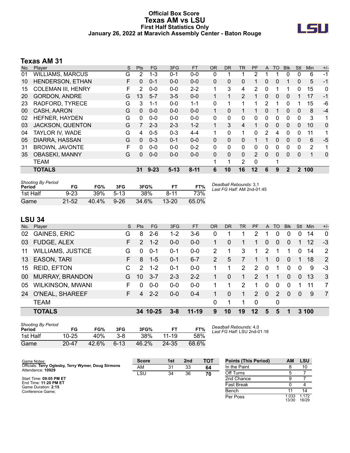### **Official Box Score Texas AM vs LSU First Half Statistics Only January 26, 2022 at Maravich Assembly Center - Baton Rouge**



# **Texas AM 31**

| No. | Player                    | S | <b>Pts</b> | FG.      | 3FG      | <b>FT</b> | <b>OR</b> | DR. | <b>TR</b>      | <b>PF</b> | A | TO       | <b>Blk</b>   | Stl          | <b>Min</b> | $+/-$       |
|-----|---------------------------|---|------------|----------|----------|-----------|-----------|-----|----------------|-----------|---|----------|--------------|--------------|------------|-------------|
| 01  | <b>WILLIAMS, MARCUS</b>   | G | 2          | $1 - 3$  | $0 - 1$  | $0 - 0$   | 0         |     |                | 2         |   |          | 0            | 0            | 6          | $-1$        |
| 10  | HENDERSON, ETHAN          | F | 0          | $0 - 1$  | $0 - 0$  | $0 - 0$   | 0         | 0   | 0              |           | 0 | 0        |              | 0            | 5          | -1          |
| 15  | <b>COLEMAN III, HENRY</b> | F | 2          | $0 - 0$  | $0 - 0$  | $2 - 2$   |           | 3   | 4              | 2         | 0 |          |              | 0            | 15         | 0           |
| 20  | <b>GORDON, ANDRE</b>      | G | 13         | $5 - 7$  | $3-5$    | $0 - 0$   |           | 1   | $\overline{2}$ |           | 0 | 0        | 0            |              | 17         | $-1$        |
| 23  | RADFORD, TYRECE           | G | 3          | $1 - 1$  | $0 - 0$  | $1 - 1$   | 0         | 1   |                | 1         | 2 |          | $\Omega$     |              | 15         | -6          |
| 00  | CASH, AARON               | G | 0          | $0 - 0$  | $0 - 0$  | $0 - 0$   |           | 0   |                |           | 0 |          | 0            | 0            | 8          | $-4$        |
| 02  | HEFNER, HAYDEN            | G | 0          | $0 - 0$  | $0 - 0$  | $0 - 0$   | 0         | 0   | 0              | 0         | 0 | 0        | $\Omega$     | 0            | 3          | 1           |
| 03  | <b>JACKSON, QUENTON</b>   | G |            | $2 - 3$  | $2 - 3$  | $1 - 2$   |           | 3   | 4              | 1         | 0 | 0        | $\mathbf{0}$ | 0            | 10         | 0           |
| 04  | TAYLOR IV. WADE           | G | 4          | $0 - 5$  | $0 - 3$  | $4 - 4$   | 1         | 0   | 1              | $\Omega$  | 2 | 4        | $\Omega$     | 0            | 11         | 1           |
| 05  | DIARRA, HASSAN            | G | $\Omega$   | $0 - 3$  | $0 - 1$  | $0 - 0$   | $\Omega$  | 0   | 0              |           |   | 0        | $\Omega$     | 0            | 6          | $-5$        |
| 31  | <b>BROWN, JAVONTE</b>     | F | 0          | $0 - 0$  | $0 - 0$  | $0 - 2$   | 0         | 0   | $\Omega$       | 0         | 0 | 0        | $\Omega$     | 0            | 2          | 1           |
| 35  | <b>OBASEKI, MANNY</b>     | G | $\Omega$   | $0 - 0$  | $0 - 0$  | $0 - 0$   | $\Omega$  | 0   | $\Omega$       | 2         | 0 | $\Omega$ | $\Omega$     | $\Omega$     | 1          | $\mathbf 0$ |
|     | <b>TEAM</b>               |   |            |          |          |           | 4         | 1   | 2              | $\Omega$  |   | 1        |              |              |            |             |
|     | <b>TOTALS</b>             |   | 31         | $9 - 23$ | $5 - 13$ | $8 - 11$  | 6         | 10  | 16             | 12        | 6 | 9        | $\mathbf{2}$ | $\mathbf{2}$ | 100        |             |

| <b>Shooting By Period</b><br>Period | FG        | FG%      | 3FG      | 3FG%  | FТ        |       | Deadball Rebounds: 3,1<br>Last FG Half: AM 2nd-01:45 |
|-------------------------------------|-----------|----------|----------|-------|-----------|-------|------------------------------------------------------|
| 1st Half                            | $9 - 23$  | 39%      | $5-13$   | 38%   | $8 - 11$  | 73%   |                                                      |
| Game                                | $21 - 52$ | $40.4\%$ | $9 - 26$ | 34.6% | $13 - 20$ | 65.0% |                                                      |

### **LSU 34**

|     | Player                   | S  | <b>Pts</b>    | <b>FG</b> | 3FG     | <b>FT</b> | <b>OR</b> | <b>DR</b> | <b>TR</b> | <b>PF</b>      |          | TO       | <b>Blk</b> | Stl      | Min. | $+/-$          |
|-----|--------------------------|----|---------------|-----------|---------|-----------|-----------|-----------|-----------|----------------|----------|----------|------------|----------|------|----------------|
| No. |                          |    |               |           |         |           |           |           |           |                | A        |          |            |          |      |                |
| 02  | <b>GAINES, ERIC</b>      | G  | 8             | $2 - 6$   | 1-2     | 3-6       | 0         |           |           | 2              | 1        | 0        | 0          | 0        | 14   | $\mathbf 0$    |
| 03  | <b>FUDGE, ALEX</b>       | F. | $\mathcal{P}$ | $1 - 2$   | $0-0$   | $0 - 0$   |           | $\Omega$  |           | 1              | $\Omega$ | $\Omega$ | $\Omega$   |          | 12   | $-3$           |
| 11  | <b>WILLIAMS, JUSTICE</b> | G  | 0             | $0 - 1$   | $0 - 1$ | $0-0$     | 2         |           | 3         | 1              | 2        |          |            | $\Omega$ | 14   | 2              |
| 13  | <b>EASON, TARI</b>       | F. | 8             | $1 - 5$   | $0 - 1$ | $6 - 7$   | 2         | 5         |           |                | 1        | 0        | $\Omega$   | 1        | 18   | 2              |
| 15  | <b>REID, EFTON</b>       | C  | $\mathcal{P}$ | $1 - 2$   | $0 - 1$ | $0 - 0$   |           |           | 2         | $\overline{2}$ | $\Omega$ | 1        | $\Omega$   | $\Omega$ | 9    | $-3$           |
| 00  | <b>MURRAY, BRANDON</b>   | G  | 10            | $3 - 7$   | $2 - 3$ | $2 - 2$   |           | $\Omega$  | 1.        | $\mathcal{P}$  | 1        | 1        | $\Omega$   | $\Omega$ | 13   | $\mathbf{3}$   |
| 05  | <b>WILKINSON, MWANI</b>  | F. | $\Omega$      | $0 - 0$   | $0 - 0$ | $0 - 0$   |           |           | 2         | 1              | $\Omega$ | 0        | $\Omega$   |          | 11   | $\overline{7}$ |
| 24  | O'NEAL, SHAREEF          | F. | 4             | $2 - 2$   | $0 - 0$ | $0 - 4$   |           | $\Omega$  |           | $\mathcal{P}$  | $\Omega$ | 2        | $\Omega$   | $\Omega$ | 9    | $\overline{7}$ |
|     | <b>TEAM</b>              |    |               |           |         |           | 0         | 1         |           | $\mathbf 0$    |          | 0        |            |          |      |                |
|     | <b>TOTALS</b>            |    |               | 34 10-25  | 3-8     | $11 - 19$ | 9         | 10        | 19        | $12 \,$        | 5        | 5        |            |          | 3100 |                |
|     |                          |    |               |           |         |           |           |           |           |                |          |          |            |          |      |                |

| <b>Shooting By Period</b><br>Period | FG        | FG%   | 3FG      | 3FG%  | FТ        | FT%   | D٥<br>Lε |
|-------------------------------------|-----------|-------|----------|-------|-----------|-------|----------|
| 1st Half                            | $10 - 25$ | 40%   | $3 - 8$  | 38%   | $11 - 19$ | 58%   |          |
| Game                                | $20 - 47$ | 42.6% | $6 - 13$ | 46.2% | 24-35     | 68.6% |          |

*Deadball Rebounds:* 4,0 *Last FG Half:* LSU 2nd-01:18

| Game Notes:                                                              | <b>Score</b> | 1st | 2 <sub>nd</sub> | тот | <b>Points (This Period)</b> | АM             | <b>LSU</b>     |
|--------------------------------------------------------------------------|--------------|-----|-----------------|-----|-----------------------------|----------------|----------------|
| Officials: Terry Oglesby, Terry Wymer, Doug Sirmons<br>Attendance: 10929 | AM           | 31  | 33              | 64  | In the Paint                |                | 10             |
|                                                                          | LSU          | 34  | 36              | 70  | Off Turns                   |                |                |
| Start Time: 09:05 PM ET                                                  |              |     |                 |     | 2nd Chance                  |                |                |
| End Time: 11:20 PM ET<br>Game Duration: 2:15                             |              |     |                 |     | <b>Fast Break</b>           |                |                |
| Conference Game:                                                         |              |     |                 |     | Bench                       |                | 14             |
|                                                                          |              |     |                 |     | Per Poss                    | 1.033<br>13/30 | 1.172<br>16/29 |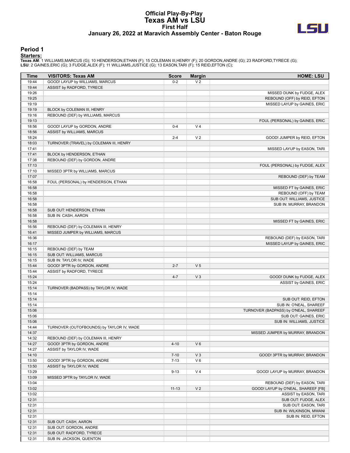#### **Official Play-By-Play Texas AM vs LSU First Half January 26, 2022 at Maravich Assembly Center - Baton Rouge**



#### **Period 1**

| Time           | <b>VISITORS: Texas AM</b>                 | <b>Score</b> | <b>Margin</b>  | <b>HOME: LSU</b>                                    |
|----------------|-------------------------------------------|--------------|----------------|-----------------------------------------------------|
| 19:44          | GOOD! LAYUP by WILLIAMS, MARCUS           | $0 - 2$      | V <sub>2</sub> |                                                     |
| 19:44          | ASSIST by RADFORD, TYRECE                 |              |                |                                                     |
| 19:26          |                                           |              |                | MISSED DUNK by FUDGE, ALEX                          |
| 19:25          |                                           |              |                | REBOUND (OFF) by REID, EFTON                        |
| 19:19          |                                           |              |                | MISSED LAYUP by GAINES, ERIC                        |
| 19:19          | BLOCK by COLEMAN III, HENRY               |              |                |                                                     |
| 19:16          | REBOUND (DEF) by WILLIAMS, MARCUS         |              |                |                                                     |
| 19:13          |                                           |              |                | FOUL (PERSONAL) by GAINES, ERIC                     |
| 18:56          | GOOD! LAYUP by GORDON, ANDRE              | $0 - 4$      | V <sub>4</sub> |                                                     |
| 18:56          | ASSIST by WILLIAMS, MARCUS                |              |                |                                                     |
| 18:24          |                                           | $2 - 4$      | V <sub>2</sub> | GOOD! JUMPER by REID, EFTON                         |
| 18:03          | TURNOVER (TRAVEL) by COLEMAN III, HENRY   |              |                |                                                     |
| 17:41          |                                           |              |                | MISSED LAYUP by EASON, TARI                         |
| 17:41          | BLOCK by HENDERSON, ETHAN                 |              |                |                                                     |
| 17:38          | REBOUND (DEF) by GORDON, ANDRE            |              |                |                                                     |
| 17:13          |                                           |              |                | FOUL (PERSONAL) by FUDGE, ALEX                      |
| 17:10          | MISSED 3PTR by WILLIAMS, MARCUS           |              |                |                                                     |
| 17:07          |                                           |              |                | REBOUND (DEF) by TEAM                               |
| 16:58          | FOUL (PERSONAL) by HENDERSON, ETHAN       |              |                |                                                     |
| 16:58          |                                           |              |                | MISSED FT by GAINES, ERIC                           |
| 16:58          |                                           |              |                | REBOUND (OFF) by TEAM<br>SUB OUT: WILLIAMS, JUSTICE |
| 16:58          |                                           |              |                |                                                     |
| 16:58          |                                           |              |                | SUB IN: MURRAY, BRANDON                             |
| 16:58          | SUB OUT: HENDERSON, ETHAN                 |              |                |                                                     |
| 16:58<br>16:58 | SUB IN: CASH, AARON                       |              |                |                                                     |
| 16:56          | REBOUND (DEF) by COLEMAN III, HENRY       |              |                | MISSED FT by GAINES, ERIC                           |
| 16:41          | MISSED JUMPER by WILLIAMS, MARCUS         |              |                |                                                     |
| 16:36          |                                           |              |                | REBOUND (DEF) by EASON, TARI                        |
| 16:17          |                                           |              |                | MISSED LAYUP by GAINES, ERIC                        |
| 16:15          | REBOUND (DEF) by TEAM                     |              |                |                                                     |
| 16:15          | SUB OUT: WILLIAMS, MARCUS                 |              |                |                                                     |
| 16:15          | SUB IN: TAYLOR IV, WADE                   |              |                |                                                     |
| 15:44          | GOOD! 3PTR by GORDON, ANDRE               | $2 - 7$      | V <sub>5</sub> |                                                     |
| 15:44          | ASSIST by RADFORD, TYRECE                 |              |                |                                                     |
| 15:24          |                                           | $4 - 7$      | V <sub>3</sub> | GOOD! DUNK by FUDGE, ALEX                           |
| 15:24          |                                           |              |                | ASSIST by GAINES, ERIC                              |
| 15:14          | TURNOVER (BADPASS) by TAYLOR IV, WADE     |              |                |                                                     |
| 15:14          |                                           |              |                |                                                     |
| 15:14          |                                           |              |                | SUB OUT: REID, EFTON                                |
| 15:14          |                                           |              |                | SUB IN: O'NEAL, SHAREEF                             |
| 15:06          |                                           |              |                | TURNOVER (BADPASS) by O'NEAL, SHAREEF               |
| 15:06          |                                           |              |                | SUB OUT: GAINES, ERIC                               |
| 15:06          |                                           |              |                | SUB IN: WILLIAMS, JUSTICE                           |
| 14:44          | TURNOVER (OUTOFBOUNDS) by TAYLOR IV, WADE |              |                |                                                     |
| 14:37          |                                           |              |                | MISSED JUMPER by MURRAY, BRANDON                    |
| 14:32          | REBOUND (DEF) by COLEMAN III, HENRY       |              |                |                                                     |
| 14:27          | GOOD! 3PTR by GORDON, ANDRE               | $4 - 10$     | $V_6$          |                                                     |
| 14:27          | ASSIST by TAYLOR IV, WADE                 |              |                |                                                     |
| 14:10          |                                           | $7 - 10$     | $V_3$          | GOOD! 3PTR by MURRAY, BRANDON                       |
| 13:50          | GOOD! 3PTR by GORDON, ANDRE               | $7 - 13$     | $V_6$          |                                                     |
| 13:50          | ASSIST by TAYLOR IV, WADE                 |              |                |                                                     |
| 13:29          |                                           | $9 - 13$     | V <sub>4</sub> | GOOD! LAYUP by MURRAY, BRANDON                      |
| 13:09          | MISSED 3PTR by TAYLOR IV, WADE            |              |                |                                                     |
| 13:04          |                                           |              |                | REBOUND (DEF) by EASON, TARI                        |
| 13:02          |                                           | $11 - 13$    | V <sub>2</sub> | GOOD! LAYUP by O'NEAL, SHAREEF [FB]                 |
| 13:02          |                                           |              |                | ASSIST by EASON, TARI                               |
| 12:31          |                                           |              |                | SUB OUT: FUDGE, ALEX                                |
| 12:31          |                                           |              |                | SUB OUT: EASON, TARI                                |
| 12:31          |                                           |              |                | SUB IN: WILKINSON, MWANI                            |
| 12:31          |                                           |              |                | SUB IN: REID, EFTON                                 |
| 12:31          | SUB OUT: CASH, AARON                      |              |                |                                                     |
| 12:31          | SUB OUT: GORDON, ANDRE                    |              |                |                                                     |
| 12:31          | SUB OUT: RADFORD, TYRECE                  |              |                |                                                     |
| 12:31          | SUB IN: JACKSON, QUENTON                  |              |                |                                                     |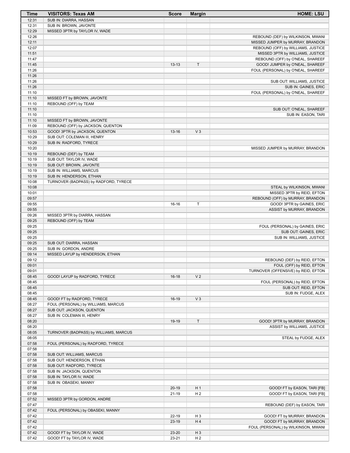| Time           | <b>VISITORS: Texas AM</b>                                         | <b>Score</b> | <b>Margin</b>  | <b>HOME: LSU</b>                                                       |
|----------------|-------------------------------------------------------------------|--------------|----------------|------------------------------------------------------------------------|
| 12:31          | SUB IN: DIARRA, HASSAN                                            |              |                |                                                                        |
| 12:31          | SUB IN: BROWN, JAVONTE                                            |              |                |                                                                        |
| 12:29          | MISSED 3PTR by TAYLOR IV, WADE                                    |              |                |                                                                        |
| 12:26          |                                                                   |              |                | REBOUND (DEF) by WILKINSON, MWANI                                      |
| 12:11<br>12:07 |                                                                   |              |                | MISSED JUMPER by MURRAY, BRANDON                                       |
| 11:51          |                                                                   |              |                | REBOUND (OFF) by WILLIAMS, JUSTICE<br>MISSED 3PTR by WILLIAMS, JUSTICE |
| 11:47          |                                                                   |              |                | REBOUND (OFF) by O'NEAL, SHAREEF                                       |
| 11:45          |                                                                   | $13 - 13$    | T              | GOOD! JUMPER by O'NEAL, SHAREEF                                        |
| 11:26          |                                                                   |              |                | FOUL (PERSONAL) by O'NEAL, SHAREEF                                     |
| 11:26          |                                                                   |              |                |                                                                        |
| 11:26          |                                                                   |              |                | SUB OUT: WILLIAMS, JUSTICE                                             |
| 11:26          |                                                                   |              |                | SUB IN: GAINES, ERIC                                                   |
| 11:10          |                                                                   |              |                | FOUL (PERSONAL) by O'NEAL, SHAREEF                                     |
| 11:10          | MISSED FT by BROWN, JAVONTE                                       |              |                |                                                                        |
| 11:10          | REBOUND (OFF) by TEAM                                             |              |                |                                                                        |
| 11:10<br>11:10 |                                                                   |              |                | SUB OUT: O'NEAL, SHAREEF<br>SUB IN: EASON, TARI                        |
| 11:10          | MISSED FT by BROWN, JAVONTE                                       |              |                |                                                                        |
| 11:09          | REBOUND (OFF) by JACKSON, QUENTON                                 |              |                |                                                                        |
| 10:53          | GOOD! 3PTR by JACKSON, QUENTON                                    | $13 - 16$    | V <sub>3</sub> |                                                                        |
| 10:29          | SUB OUT: COLEMAN III, HENRY                                       |              |                |                                                                        |
| 10:29          | SUB IN: RADFORD, TYRECE                                           |              |                |                                                                        |
| 10:20          |                                                                   |              |                | MISSED JUMPER by MURRAY, BRANDON                                       |
| 10:19          | REBOUND (DEF) by TEAM                                             |              |                |                                                                        |
| 10:19          | SUB OUT: TAYLOR IV, WADE                                          |              |                |                                                                        |
| 10:19          | SUB OUT: BROWN, JAVONTE                                           |              |                |                                                                        |
| 10:19          | SUB IN: WILLIAMS, MARCUS                                          |              |                |                                                                        |
| 10:19<br>10:08 | SUB IN: HENDERSON, ETHAN<br>TURNOVER (BADPASS) by RADFORD, TYRECE |              |                |                                                                        |
| 10:08          |                                                                   |              |                | STEAL by WILKINSON, MWANI                                              |
| 10:01          |                                                                   |              |                | MISSED 3PTR by REID, EFTON                                             |
| 09:57          |                                                                   |              |                | REBOUND (OFF) by MURRAY, BRANDON                                       |
| 09:55          |                                                                   | 16-16        | Т              | GOOD! 3PTR by GAINES, ERIC                                             |
| 09:55          |                                                                   |              |                | ASSIST by MURRAY, BRANDON                                              |
| 09:26          | MISSED 3PTR by DIARRA, HASSAN                                     |              |                |                                                                        |
| 09:25          | REBOUND (OFF) by TEAM                                             |              |                |                                                                        |
| 09:25          |                                                                   |              |                | FOUL (PERSONAL) by GAINES, ERIC                                        |
| 09:25          |                                                                   |              |                | SUB OUT: GAINES, ERIC                                                  |
| 09:25<br>09:25 | SUB OUT: DIARRA, HASSAN                                           |              |                | SUB IN: WILLIAMS, JUSTICE                                              |
| 09:25          | SUB IN: GORDON, ANDRE                                             |              |                |                                                                        |
| 09:14          | MISSED LAYUP by HENDERSON, ETHAN                                  |              |                |                                                                        |
| 09:12          |                                                                   |              |                | REBOUND (DEF) by REID, EFTON                                           |
| 09:01          |                                                                   |              |                | FOUL (OFF) by REID, EFTON                                              |
| 09:01          |                                                                   |              |                | TURNOVER (OFFENSIVE) by REID, EFTON                                    |
| 08:45          | GOOD! LAYUP by RADFORD, TYRECE                                    | $16-18$      | V <sub>2</sub> |                                                                        |
| 08:45          |                                                                   |              |                | FOUL (PERSONAL) by REID, EFTON                                         |
| 08:45          |                                                                   |              |                | SUB OUT: REID, EFTON                                                   |
| 08:45          | GOOD! FT by RADFORD, TYRECE                                       |              |                | SUB IN: FUDGE, ALEX                                                    |
| 08:45<br>08:27 | FOUL (PERSONAL) by WILLIAMS, MARCUS                               | $16-19$      | $V_3$          |                                                                        |
| 08:27          | SUB OUT: JACKSON, QUENTON                                         |              |                |                                                                        |
| 08:27          | SUB IN: COLEMAN III, HENRY                                        |              |                |                                                                        |
| 08:20          |                                                                   | 19-19        | T.             | GOOD! 3PTR by MURRAY, BRANDON                                          |
| 08:20          |                                                                   |              |                | ASSIST by WILLIAMS, JUSTICE                                            |
| 08:05          | TURNOVER (BADPASS) by WILLIAMS, MARCUS                            |              |                |                                                                        |
| 08:05          |                                                                   |              |                | STEAL by FUDGE, ALEX                                                   |
| 07:58          | FOUL (PERSONAL) by RADFORD, TYRECE                                |              |                |                                                                        |
| 07:58          |                                                                   |              |                |                                                                        |
| 07:58          | SUB OUT: WILLIAMS, MARCUS                                         |              |                |                                                                        |
| 07:58<br>07:58 | SUB OUT: HENDERSON, ETHAN                                         |              |                |                                                                        |
| 07:58          | SUB OUT: RADFORD, TYRECE<br>SUB IN: JACKSON, QUENTON              |              |                |                                                                        |
| 07:58          | SUB IN: TAYLOR IV, WADE                                           |              |                |                                                                        |
| 07:58          | SUB IN: OBASEKI, MANNY                                            |              |                |                                                                        |
| 07:58          |                                                                   | $20 - 19$    | H <sub>1</sub> | GOOD! FT by EASON, TARI [FB]                                           |
| 07:58          |                                                                   | $21 - 19$    | H <sub>2</sub> | GOOD! FT by EASON, TARI [FB]                                           |
| 07:52          | MISSED 3PTR by GORDON, ANDRE                                      |              |                |                                                                        |
| 07:47          |                                                                   |              |                | REBOUND (DEF) by EASON, TARI                                           |
| 07:42          | FOUL (PERSONAL) by OBASEKI, MANNY                                 |              |                |                                                                        |
| 07:42          |                                                                   | $22 - 19$    | $H_3$          | GOOD! FT by MURRAY, BRANDON                                            |
| 07:42          |                                                                   | $23-19$      | H4             | GOOD! FT by MURRAY, BRANDON                                            |
| 07:42<br>07:42 | GOOD! FT by TAYLOR IV, WADE                                       | 23-20        | $H_3$          | FOUL (PERSONAL) by WILKINSON, MWANI                                    |
| 07:42          | GOOD! FT by TAYLOR IV, WADE                                       | 23-21        | H <sub>2</sub> |                                                                        |
|                |                                                                   |              |                |                                                                        |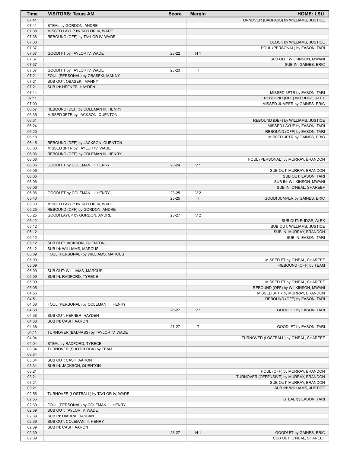| <b>Time</b>    | <b>VISITORS: Texas AM</b>              | <b>Score</b> | <b>Margin</b>  | <b>HOME: LSU</b>                                              |
|----------------|----------------------------------------|--------------|----------------|---------------------------------------------------------------|
| 07:41          |                                        |              |                | TURNOVER (BADPASS) by WILLIAMS, JUSTICE                       |
| 07:41          | STEAL by GORDON, ANDRE                 |              |                |                                                               |
| 07:38          | MISSED LAYUP by TAYLOR IV, WADE        |              |                |                                                               |
| 07:38<br>07:38 | REBOUND (OFF) by TAYLOR IV, WADE       |              |                | BLOCK by WILLIAMS, JUSTICE                                    |
| 07:37          |                                        |              |                | FOUL (PERSONAL) by EASON, TARI                                |
| 07:37          | GOOD! FT by TAYLOR IV, WADE            | 23-22        | H <sub>1</sub> |                                                               |
| 07:37          |                                        |              |                | SUB OUT: WILKINSON, MWANI                                     |
| 07:37          |                                        |              |                | SUB IN: GAINES, ERIC                                          |
| 07:37          | GOOD! FT by TAYLOR IV, WADE            | 23-23        | T              |                                                               |
| 07:21          | FOUL (PERSONAL) by OBASEKI, MANNY      |              |                |                                                               |
| 07:21          | SUB OUT: OBASEKI, MANNY                |              |                |                                                               |
| 07:21          | SUB IN: HEFNER, HAYDEN                 |              |                |                                                               |
| 07:14<br>07:11 |                                        |              |                | MISSED 3PTR by EASON, TARI                                    |
| 07:00          |                                        |              |                | REBOUND (OFF) by FUDGE, ALEX<br>MISSED JUMPER by GAINES, ERIC |
| 06:57          | REBOUND (DEF) by COLEMAN III, HENRY    |              |                |                                                               |
| 06:35          | MISSED 3PTR by JACKSON, QUENTON        |              |                |                                                               |
| 06:31          |                                        |              |                | REBOUND (DEF) by WILLIAMS, JUSTICE                            |
| 06:24          |                                        |              |                | MISSED LAYUP by EASON, TARI                                   |
| 06:20          |                                        |              |                | REBOUND (OFF) by EASON, TARI                                  |
| 06:18          |                                        |              |                | MISSED 3PTR by GAINES, ERIC                                   |
| 06:15          | REBOUND (DEF) by JACKSON, QUENTON      |              |                |                                                               |
| 06:08          | MISSED 3PTR by TAYLOR IV, WADE         |              |                |                                                               |
| 06:06<br>06:06 | REBOUND (OFF) by COLEMAN III, HENRY    |              |                |                                                               |
| 06:06          | GOOD! FT by COLEMAN III, HENRY         | 23-24        | V <sub>1</sub> | FOUL (PERSONAL) by MURRAY, BRANDON                            |
| 06:06          |                                        |              |                | SUB OUT: MURRAY, BRANDON                                      |
| 06:06          |                                        |              |                | SUB OUT: EASON, TARI                                          |
| 06:06          |                                        |              |                | SUB IN: WILKINSON, MWANI                                      |
| 06:06          |                                        |              |                | SUB IN: O'NEAL, SHAREEF                                       |
| 06:06          | GOOD! FT by COLEMAN III, HENRY         | 23-25        | V <sub>2</sub> |                                                               |
| 05:40          |                                        | $25 - 25$    | T.             | GOOD! JUMPER by GAINES, ERIC                                  |
| 05:30          | MISSED LAYUP by TAYLOR IV, WADE        |              |                |                                                               |
| 05:25          | REBOUND (OFF) by GORDON, ANDRE         |              |                |                                                               |
| 05:25<br>05:12 | GOOD! LAYUP by GORDON, ANDRE           | 25-27        | V <sub>2</sub> |                                                               |
| 05:12          |                                        |              |                | SUB OUT: FUDGE, ALEX<br>SUB OUT: WILLIAMS, JUSTICE            |
| 05:12          |                                        |              |                | SUB IN: MURRAY, BRANDON                                       |
| 05:12          |                                        |              |                | SUB IN: EASON, TARI                                           |
| 05:12          | SUB OUT: JACKSON, QUENTON              |              |                |                                                               |
| 05:12          | SUB IN: WILLIAMS, MARCUS               |              |                |                                                               |
| 05:09          | FOUL (PERSONAL) by WILLIAMS, MARCUS    |              |                |                                                               |
| 05:09          |                                        |              |                | MISSED FT by O'NEAL, SHAREEF                                  |
| 05:09          |                                        |              |                | REBOUND (OFF) by TEAM                                         |
| 05:09          | SUB OUT: WILLIAMS, MARCUS              |              |                |                                                               |
| 05:09<br>05:09 | SUB IN: RADFORD, TYRECE                |              |                | MISSED FT by O'NEAL, SHAREEF                                  |
| 05:05          |                                        |              |                | REBOUND (OFF) by WILKINSON, MWANI                             |
| 04:56          |                                        |              |                | MISSED 3PTR by MURRAY, BRANDON                                |
| 04:51          |                                        |              |                | REBOUND (OFF) by EASON, TARI                                  |
| 04:38          | FOUL (PERSONAL) by COLEMAN III, HENRY  |              |                |                                                               |
| 04:38          |                                        | 26-27        | V <sub>1</sub> | GOOD! FT by EASON, TARI                                       |
| 04:38          | SUB OUT: HEFNER, HAYDEN                |              |                |                                                               |
| 04:38          | SUB IN: CASH, AARON                    |              |                |                                                               |
| 04:38          |                                        | 27-27        | T              | GOOD! FT by EASON, TARI                                       |
| 04:11<br>04:04 | TURNOVER (BADPASS) by TAYLOR IV, WADE  |              |                |                                                               |
| 04:04          | STEAL by RADFORD, TYRECE               |              |                | TURNOVER (LOSTBALL) by O'NEAL, SHAREEF                        |
| 03:34          | TURNOVER (SHOTCLOCK) by TEAM           |              |                |                                                               |
| 03:34          |                                        |              |                |                                                               |
| 03:34          | SUB OUT: CASH, AARON                   |              |                |                                                               |
| 03:34          | SUB IN: JACKSON, QUENTON               |              |                |                                                               |
| 03:21          |                                        |              |                | FOUL (OFF) by MURRAY, BRANDON                                 |
| 03:21          |                                        |              |                | TURNOVER (OFFENSIVE) by MURRAY, BRANDON                       |
| 03:21          |                                        |              |                | SUB OUT: MURRAY, BRANDON                                      |
| 03:21          |                                        |              |                | SUB IN: WILLIAMS, JUSTICE                                     |
| 02:56<br>02:56 | TURNOVER (LOSTBALL) by TAYLOR IV, WADE |              |                | STEAL by EASON, TARI                                          |
| 02:39          | FOUL (PERSONAL) by COLEMAN III, HENRY  |              |                |                                                               |
| 02:39          | SUB OUT: TAYLOR IV, WADE               |              |                |                                                               |
| 02:39          | SUB IN: DIARRA, HASSAN                 |              |                |                                                               |
| 02:39          | SUB OUT: COLEMAN III, HENRY            |              |                |                                                               |
| 02:39          | SUB IN: CASH, AARON                    |              |                |                                                               |
| 02:39          |                                        | 28-27        | H <sub>1</sub> | GOOD! FT by GAINES, ERIC                                      |
| 02:39          |                                        |              |                | SUB OUT: O'NEAL, SHAREEF                                      |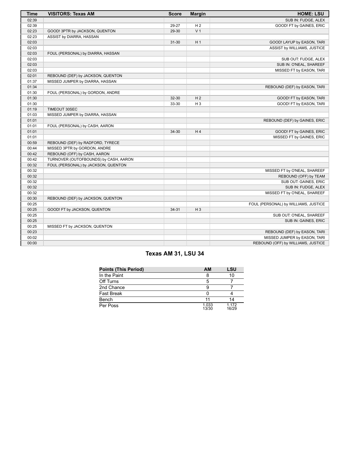| <b>Time</b> | <b>VISITORS: Texas AM</b>             | <b>Score</b> | <b>Margin</b>  | <b>HOME: LSU</b>                     |
|-------------|---------------------------------------|--------------|----------------|--------------------------------------|
| 02:39       |                                       |              |                | SUB IN: FUDGE, ALEX                  |
| 02:39       |                                       | 29-27        | H <sub>2</sub> | GOOD! FT by GAINES, ERIC             |
| 02:23       | GOOD! 3PTR by JACKSON, QUENTON        | 29-30        | V <sub>1</sub> |                                      |
| 02:23       | ASSIST by DIARRA, HASSAN              |              |                |                                      |
| 02:03       |                                       | $31 - 30$    | H <sub>1</sub> | GOOD! LAYUP by EASON, TARI           |
| 02:03       |                                       |              |                | ASSIST by WILLIAMS, JUSTICE          |
| 02:03       | FOUL (PERSONAL) by DIARRA, HASSAN     |              |                |                                      |
| 02:03       |                                       |              |                | SUB OUT: FUDGE, ALEX                 |
| 02:03       |                                       |              |                | SUB IN: O'NEAL, SHAREEF              |
| 02:03       |                                       |              |                | MISSED FT by EASON, TARI             |
| 02:01       | REBOUND (DEF) by JACKSON, QUENTON     |              |                |                                      |
| 01:37       | MISSED JUMPER by DIARRA, HASSAN       |              |                |                                      |
| 01:34       |                                       |              |                | REBOUND (DEF) by EASON, TARI         |
| 01:30       | FOUL (PERSONAL) by GORDON, ANDRE      |              |                |                                      |
| 01:30       |                                       | 32-30        | H <sub>2</sub> | GOOD! FT by EASON, TARI              |
| 01:30       |                                       | 33-30        | $H_3$          | <b>GOOD! FT by EASON, TARI</b>       |
| 01:19       | TIMEOUT 30SEC                         |              |                |                                      |
| 01:03       | MISSED JUMPER by DIARRA, HASSAN       |              |                |                                      |
| 01:01       |                                       |              |                | REBOUND (DEF) by GAINES, ERIC        |
| 01:01       | FOUL (PERSONAL) by CASH, AARON        |              |                |                                      |
| 01:01       |                                       | 34-30        | H <sub>4</sub> | GOOD! FT by GAINES, ERIC             |
| 01:01       |                                       |              |                | MISSED FT by GAINES, ERIC            |
| 00:59       | REBOUND (DEF) by RADFORD, TYRECE      |              |                |                                      |
| 00:44       | MISSED 3PTR by GORDON, ANDRE          |              |                |                                      |
| 00:42       | REBOUND (OFF) by CASH, AARON          |              |                |                                      |
| 00:42       | TURNOVER (OUTOFBOUNDS) by CASH, AARON |              |                |                                      |
| 00:32       | FOUL (PERSONAL) by JACKSON, QUENTON   |              |                |                                      |
| 00:32       |                                       |              |                | MISSED FT by O'NEAL, SHAREEF         |
| 00:32       |                                       |              |                | REBOUND (OFF) by TEAM                |
| 00:32       |                                       |              |                | SUB OUT: GAINES, ERIC                |
| 00:32       |                                       |              |                | SUB IN: FUDGE, ALEX                  |
| 00:32       |                                       |              |                | MISSED FT by O'NEAL, SHAREEF         |
| 00:30       | REBOUND (DEF) by JACKSON, QUENTON     |              |                |                                      |
| 00:25       |                                       |              |                | FOUL (PERSONAL) by WILLIAMS, JUSTICE |
| 00:25       | GOOD! FT by JACKSON, QUENTON          | $34 - 31$    | $H_3$          |                                      |
| 00:25       |                                       |              |                | SUB OUT: O'NEAL, SHAREEF             |
| 00:25       |                                       |              |                | SUB IN: GAINES, ERIC                 |
| 00:25       | MISSED FT by JACKSON, QUENTON         |              |                |                                      |
| 00:23       |                                       |              |                | REBOUND (DEF) by EASON, TARI         |
| 00:02       |                                       |              |                | MISSED JUMPER by EASON, TARI         |
| 00:00       |                                       |              |                | REBOUND (OFF) by WILLIAMS, JUSTICE   |

# **Texas AM 31, LSU 34**

| <b>Points (This Period)</b> | <b>AM</b>      | <b>LSU</b>     |
|-----------------------------|----------------|----------------|
| In the Paint                |                | 10             |
| Off Turns                   |                |                |
| 2nd Chance                  |                |                |
| <b>Fast Break</b>           |                |                |
| Bench                       |                | 14             |
| Per Poss                    | 1.033<br>13/30 | 1.172<br>16/29 |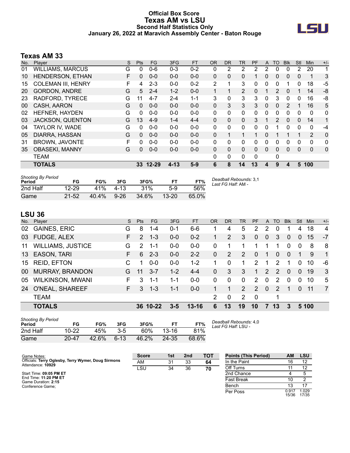### **Official Box Score Texas AM vs LSU Second Half Statistics Only January 26, 2022 at Maravich Assembly Center - Baton Rouge**



## **Texas AM 33**

| No. | <b>Plaver</b>             | S | Pts      | FG.      | 3FG      | <b>FT</b> | <b>OR</b>    | DR.      | TR             | <b>PF</b> | A            | TO       | <b>B</b> lk | Stl          | <b>Min</b>  | $+/-$        |
|-----|---------------------------|---|----------|----------|----------|-----------|--------------|----------|----------------|-----------|--------------|----------|-------------|--------------|-------------|--------------|
| 01  | <b>WILLIAMS, MARCUS</b>   | G | $\Omega$ | $0 - 6$  | $0 - 3$  | $0 - 2$   | 0            | 2        | 2              | 2         | 2            | 0        | 0           | 2            | 20          | 1            |
| 10  | HENDERSON, ETHAN          | F | 0        | $0 - 0$  | $0 - 0$  | $0 - 0$   | 0            | 0        | 0              |           | 0            | 0        | 0           | 0            | 1           | 3            |
| 15  | <b>COLEMAN III, HENRY</b> | F | 4        | $2 - 3$  | $0 - 0$  | $0 - 2$   | 2            | 1        | 3              | 0         | 0            | 0        |             | 0            | 18          | $-5$         |
| 20  | <b>GORDON, ANDRE</b>      | G | 5        | $2 - 4$  | $1 - 2$  | $0 - 0$   |              | 1        | $\overline{2}$ | 0         |              | 2        | 0           |              | 14          | -8           |
| 23  | RADFORD, TYRECE           | G | 11       | $4 - 7$  | 2-4      | $1 - 1$   | 3            | 0        | 3              | 3         | 0            | 3        | $\Omega$    | 0            | 16          | -8           |
| 00  | CASH, AARON               | G | $\Omega$ | $0 - 0$  | $0 - 0$  | $0 - 0$   | 0            | 3        | 3              | 3         | $\mathbf{0}$ | 0        | 2           | 1            | 16          | 5            |
| 02  | HEFNER, HAYDEN            | G | $\Omega$ | $0 - 0$  | $0 - 0$  | $0 - 0$   | $\mathbf{0}$ | 0        | 0              | $\Omega$  | 0            | 0        | 0           | 0            | 0           | $\mathbf{0}$ |
| 03  | <b>JACKSON, QUENTON</b>   | G | 13       | $4-9$    | $1 - 4$  | $4 - 4$   | 0            | 0        | $\Omega$       | 3         |              | 2        | $\Omega$    | $\mathbf{0}$ | 14          | $\mathbf{1}$ |
| 04  | TAYLOR IV, WADE           | G | $\Omega$ | $0 - 0$  | $0 - 0$  | $0-0$     | $\Omega$     | 0        | $\mathbf{0}$   | $\Omega$  | 0            | 1        | 0           | 0            | $\mathbf 0$ | -4           |
| 05  | DIARRA, HASSAN            | G | 0        | $0 - 0$  | $0 - 0$  | $0 - 0$   | 0            | 1        | 1              |           | 0            |          |             | 1            | 2           | 0            |
| 31  | <b>BROWN, JAVONTE</b>     | F | $\Omega$ | $0 - 0$  | $0 - 0$  | $0 - 0$   | $\Omega$     | 0        | $\Omega$       | $\Omega$  | 0            | 0        | 0           | 0            | $\Omega$    | 0            |
| 35  | <b>OBASEKI, MANNY</b>     | G | $\Omega$ | $0 - 0$  | $0 - 0$  | $0 - 0$   | 0            | $\Omega$ | $\mathbf{0}$   | $\Omega$  | $\Omega$     | $\Omega$ | 0           | $\Omega$     | $\Omega$    | 0            |
|     | <b>TEAM</b>               |   |          |          |          |           | 0            | 0        | 0              | $\Omega$  |              | 0        |             |              |             |              |
|     | <b>TOTALS</b>             |   |          | 33 12-29 | $4 - 13$ | $5-9$     | 6            | 8        | 14             | 13        | 4            | 9        | 4           | 5            | 100         |              |

| <b>Shooting By Period</b><br>Period | FG        | FG%      | 3FG    | 3FG%  | FT.       | FT%   | Deadball Rebounds: 3,1<br>Last FG Half: AM - |
|-------------------------------------|-----------|----------|--------|-------|-----------|-------|----------------------------------------------|
| 2nd Half                            | $12 - 29$ | 41%      | 4-13   | 31%   | 5-9       | .56%  |                                              |
| Game                                | $21 - 52$ | $40.4\%$ | $9-26$ | 34.6% | $13 - 20$ | 65.0% |                                              |

# **LSU 36**

| No. | Player                   | S  | <b>Pts</b>    | <b>FG</b> | 3FG     | FT        | <b>OR</b> | DR.      | TR             | PF             | $\mathsf{A}$   | <b>TO</b>     | <b>Blk</b>     | Stl            | Min.  | $+/-$          |
|-----|--------------------------|----|---------------|-----------|---------|-----------|-----------|----------|----------------|----------------|----------------|---------------|----------------|----------------|-------|----------------|
| 02  | <b>GAINES, ERIC</b>      | G  | 8             | 1-4       | $0 - 1$ | 6-6       |           | 4        | 5              | 2              | 2              | 0             |                | 4              | 18    | 4              |
| 03  | <b>FUDGE, ALEX</b>       | F. | $\mathcal{P}$ | $1 - 3$   | $0 - 0$ | $0 - 2$   |           | 2        | 3              | $\mathbf{0}$   | $\overline{0}$ | 3             | $\overline{0}$ | $\overline{0}$ | 15    | $-7$           |
| 11  | <b>WILLIAMS, JUSTICE</b> | G  | $\mathcal{P}$ | $1 - 1$   | $0-0$   | $0-0$     | 0         | 1        |                | 1              |                | 1             | $\Omega$       | $\Omega$       | 8     | 8              |
| 13  | <b>EASON, TARI</b>       | F. | 6             | $2 - 3$   | $0 - 0$ | $2 - 2$   | 0         | 2        | 2              | $\Omega$       | -1             | $\Omega$      | $\Omega$       | 1              | 9     | $\overline{1}$ |
| 15  | <b>REID, EFTON</b>       |    | 1             | $0-0$     | $0 - 0$ | $1 - 2$   |           | 0        | 1              | $\mathcal{P}$  | 1              | 2             | 1              | 0              | 10    | -6             |
| 00  | <b>MURRAY, BRANDON</b>   | G  | 11            | $3 - 7$   | $1 - 2$ | $4 - 4$   | 0         | 3        | 3              | 1              | 2              | $\mathcal{P}$ | $\Omega$       | $\Omega$       | 19    | 3              |
| 05  | <b>WILKINSON, MWANI</b>  | F. | 3             | $1 - 1$   | $1 - 1$ | $0-0$     | $\Omega$  | $\Omega$ | $\Omega$       | 2              | $\Omega$       | 2             | $\Omega$       | 0              | 10    | 5              |
| 24  | O'NEAL, SHAREEF          | F. | 3             | $1 - 3$   | $1 - 1$ | $0-0$     |           | 1        | 2              | $\overline{2}$ | $\mathbf{0}$   | 2             | 1              | $\Omega$       | 11    | $\overline{7}$ |
|     | <b>TEAM</b>              |    |               |           |         |           | 2         | 0        | $\overline{2}$ | $\Omega$       |                | 1             |                |                |       |                |
|     | <b>TOTALS</b>            |    |               | 36 10-22  | $3 - 5$ | $13 - 16$ | 6         | 13       | 19             | 10             | 7              | 13            | 3              |                | 5 100 |                |
|     |                          |    |               |           |         |           |           |          |                |                |                |               |                |                |       |                |

| <b>Shooting By Period</b><br>Period | FG        | FG%   | 3FG      | 3FG%  | FТ        | FT%   |
|-------------------------------------|-----------|-------|----------|-------|-----------|-------|
| 2nd Half                            | $10 - 22$ | 45%   | 3-5      | 60%   | $13 - 16$ | 81%   |
| Game                                | $20 - 47$ | 42.6% | $6 - 13$ | 46.2% | 24-35     | 68.6% |

*Deadball Rebounds:* 4,0 *Last FG Half:* LSU -

| Game Notes:                                                              | <b>Score</b> | 1st | 2 <sub>nd</sub> | TOT | <b>Points (This Period)</b> | АM             | LSU            |
|--------------------------------------------------------------------------|--------------|-----|-----------------|-----|-----------------------------|----------------|----------------|
| Officials: Terry Oglesby, Terry Wymer, Doug Sirmons<br>Attendance: 10929 | AM           | 31  | 33              | 64  | In the Paint                | 16             |                |
|                                                                          | LSU          | 34  | 36              | 70  | Off Turns                   |                | 12             |
| Start Time: 09:05 PM ET                                                  |              |     |                 |     | 2nd Chance                  |                |                |
| End Time: 11:20 PM ET<br>Game Duration: 2:15                             |              |     |                 |     | <b>Fast Break</b>           |                |                |
| Conference Game;                                                         |              |     |                 |     | Bench                       |                |                |
|                                                                          |              |     |                 |     | Per Poss                    | 0.917<br>15/36 | 1.029<br>17/35 |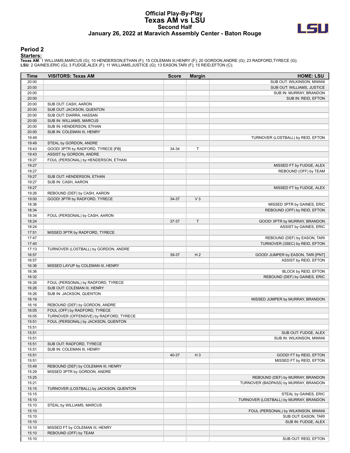#### **Official Play-By-Play Texas AM vs LSU Second Half January 26, 2022 at Maravich Assembly Center - Baton Rouge**



#### **Period 2**

| Time           | <b>VISITORS: Texas AM</b>                            | Score | <b>Margin</b>  | <b>HOME: LSU</b>                                    |
|----------------|------------------------------------------------------|-------|----------------|-----------------------------------------------------|
| 20:00          |                                                      |       |                | SUB OUT: WILKINSON, MWANI                           |
| 20:00          |                                                      |       |                | SUB OUT: WILLIAMS, JUSTICE                          |
| 20:00          |                                                      |       |                | SUB IN: MURRAY, BRANDON                             |
| 20:00          |                                                      |       |                | SUB IN: REID, EFTON                                 |
| 20:00          | SUB OUT: CASH, AARON                                 |       |                |                                                     |
| 20:00          | SUB OUT: JACKSON, QUENTON                            |       |                |                                                     |
| 20:00<br>20:00 | SUB OUT: DIARRA, HASSAN                              |       |                |                                                     |
| 20:00          | SUB IN: WILLIAMS, MARCUS<br>SUB IN: HENDERSON, ETHAN |       |                |                                                     |
| 20:00          | SUB IN: COLEMAN III, HENRY                           |       |                |                                                     |
| 19:49          |                                                      |       |                | TURNOVER (LOSTBALL) by REID, EFTON                  |
| 19:49          | STEAL by GORDON, ANDRE                               |       |                |                                                     |
| 19:43          | GOOD! 3PTR by RADFORD, TYRECE [FB]                   | 34-34 | $\mathsf T$    |                                                     |
| 19:43          | ASSIST by GORDON, ANDRE                              |       |                |                                                     |
| 19:27          | FOUL (PERSONAL) by HENDERSON, ETHAN                  |       |                |                                                     |
| 19:27          |                                                      |       |                | MISSED FT by FUDGE, ALEX                            |
| 19:27          |                                                      |       |                | REBOUND (OFF) by TEAM                               |
| 19:27          | SUB OUT: HENDERSON, ETHAN                            |       |                |                                                     |
| 19:27          | SUB IN: CASH, AARON                                  |       |                |                                                     |
| 19:27          |                                                      |       |                | MISSED FT by FUDGE, ALEX                            |
| 19:26          | REBOUND (DEF) by CASH, AARON                         |       |                |                                                     |
| 19:00          | GOOD! 3PTR by RADFORD, TYRECE                        | 34-37 | $V_3$          |                                                     |
| 18:36          |                                                      |       |                | MISSED 3PTR by GAINES, ERIC                         |
| 18:34          |                                                      |       |                | REBOUND (OFF) by REID, EFTON                        |
| 18:34          | FOUL (PERSONAL) by CASH, AARON                       |       |                |                                                     |
| 18:24          |                                                      | 37-37 | T              | GOOD! 3PTR by MURRAY, BRANDON                       |
| 18:24          |                                                      |       |                | ASSIST by GAINES, ERIC                              |
| 17:51          | MISSED 3PTR by RADFORD, TYRECE                       |       |                |                                                     |
| 17:47          |                                                      |       |                | REBOUND (DEF) by EASON, TARI                        |
| 17:40<br>17:13 | TURNOVER (LOSTBALL) by GORDON, ANDRE                 |       |                | TURNOVER (3SEC) by REID, EFTON                      |
| 16:57          |                                                      | 39-37 | H <sub>2</sub> | GOOD! JUMPER by EASON, TARI [PNT]                   |
| 16:57          |                                                      |       |                | ASSIST by REID, EFTON                               |
| 16:36          | MISSED LAYUP by COLEMAN III, HENRY                   |       |                |                                                     |
| 16:36          |                                                      |       |                | BLOCK by REID, EFTON                                |
| 16:32          |                                                      |       |                | REBOUND (DEF) by GAINES, ERIC                       |
| 16:26          | FOUL (PERSONAL) by RADFORD, TYRECE                   |       |                |                                                     |
| 16:26          | SUB OUT: COLEMAN III, HENRY                          |       |                |                                                     |
| 16:26          | SUB IN: JACKSON, QUENTON                             |       |                |                                                     |
| 16:19          |                                                      |       |                | MISSED JUMPER by MURRAY, BRANDON                    |
| 16:16          | REBOUND (DEF) by GORDON, ANDRE                       |       |                |                                                     |
| 16:05          | FOUL (OFF) by RADFORD, TYRECE                        |       |                |                                                     |
| 16:05          | TURNOVER (OFFENSIVE) by RADFORD, TYRECE              |       |                |                                                     |
| 15:51          | FOUL (PERSONAL) by JACKSON, QUENTON                  |       |                |                                                     |
| 15:51          |                                                      |       |                |                                                     |
| 15:51          |                                                      |       |                | SUB OUT: FUDGE, ALEX                                |
| 15:51          |                                                      |       |                | SUB IN: WILKINSON, MWANI                            |
| 15:51          | SUB OUT: RADFORD, TYRECE                             |       |                |                                                     |
| 15:51          | SUB IN: COLEMAN III, HENRY                           |       |                |                                                     |
| 15:51<br>15:51 |                                                      | 40-37 | $H_3$          | GOOD! FT by REID, EFTON<br>MISSED FT by REID, EFTON |
| 15:49          | REBOUND (DEF) by COLEMAN III, HENRY                  |       |                |                                                     |
| 15:29          | MISSED 3PTR by GORDON, ANDRE                         |       |                |                                                     |
| 15:25          |                                                      |       |                | REBOUND (DEF) by MURRAY, BRANDON                    |
| 15:21          |                                                      |       |                | TURNOVER (BADPASS) by MURRAY, BRANDON               |
| 15:15          | TURNOVER (LOSTBALL) by JACKSON, QUENTON              |       |                |                                                     |
| 15:15          |                                                      |       |                | STEAL by GAINES, ERIC                               |
| 15:10          |                                                      |       |                | TURNOVER (LOSTBALL) by MURRAY, BRANDON              |
| 15:10          | STEAL by WILLIAMS, MARCUS                            |       |                |                                                     |
| 15:10          |                                                      |       |                | FOUL (PERSONAL) by WILKINSON, MWANI                 |
| 15:10          |                                                      |       |                | SUB OUT: EASON, TARI                                |
| 15:10          |                                                      |       |                | SUB IN: FUDGE, ALEX                                 |
| 15:10          | MISSED FT by COLEMAN III, HENRY                      |       |                |                                                     |
| 15:10          | REBOUND (OFF) by TEAM                                |       |                |                                                     |
| 15:10          |                                                      |       |                | SUB OUT: REID, EFTON                                |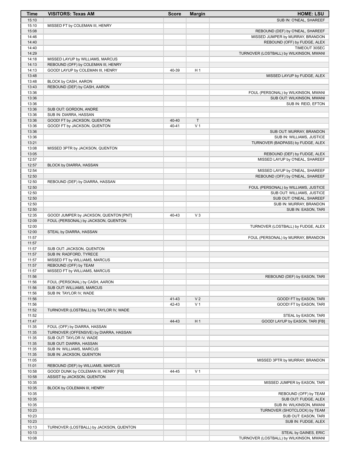| <b>Time</b>    | <b>VISITORS: Texas AM</b>                                                  | <b>Score</b> | <b>Margin</b>            | <b>HOME: LSU</b>                                                    |
|----------------|----------------------------------------------------------------------------|--------------|--------------------------|---------------------------------------------------------------------|
| 15:10          |                                                                            |              |                          | SUB IN: O'NEAL, SHAREEF                                             |
| 15:10          | MISSED FT by COLEMAN III, HENRY                                            |              |                          |                                                                     |
| 15:08<br>14:46 |                                                                            |              |                          | REBOUND (DEF) by O'NEAL, SHAREEF                                    |
| 14:40          |                                                                            |              |                          | MISSED JUMPER by MURRAY, BRANDON<br>REBOUND (OFF) by FUDGE, ALEX    |
| 14:40          |                                                                            |              |                          | TIMEOUT 30SEC                                                       |
| 14:29          |                                                                            |              |                          | TURNOVER (LOSTBALL) by WILKINSON, MWANI                             |
| 14:18          | MISSED LAYUP by WILLIAMS, MARCUS                                           |              |                          |                                                                     |
| 14:13          | REBOUND (OFF) by COLEMAN III, HENRY                                        |              |                          |                                                                     |
| 14:13          | GOOD! LAYUP by COLEMAN III, HENRY                                          | 40-39        | H 1                      |                                                                     |
| 13:48<br>13:48 | BLOCK by CASH, AARON                                                       |              |                          | MISSED LAYUP by FUDGE, ALEX                                         |
| 13:43          | REBOUND (DEF) by CASH, AARON                                               |              |                          |                                                                     |
| 13:36          |                                                                            |              |                          | FOUL (PERSONAL) by WILKINSON, MWANI                                 |
| 13:36          |                                                                            |              |                          | SUB OUT: WILKINSON, MWANI                                           |
| 13:36          |                                                                            |              |                          | SUB IN: REID, EFTON                                                 |
| 13:36          | SUB OUT: GORDON, ANDRE                                                     |              |                          |                                                                     |
| 13:36          | SUB IN: DIARRA, HASSAN                                                     |              |                          |                                                                     |
| 13:36          | GOOD! FT by JACKSON, QUENTON                                               | 40-40        | $\top$<br>V <sub>1</sub> |                                                                     |
| 13:36<br>13:36 | GOOD! FT by JACKSON, QUENTON                                               | $40 - 41$    |                          | SUB OUT: MURRAY, BRANDON                                            |
| 13:36          |                                                                            |              |                          | SUB IN: WILLIAMS, JUSTICE                                           |
| 13:21          |                                                                            |              |                          | TURNOVER (BADPASS) by FUDGE, ALEX                                   |
| 13:08          | MISSED 3PTR by JACKSON, QUENTON                                            |              |                          |                                                                     |
| 13:05          |                                                                            |              |                          | REBOUND (DEF) by FUDGE, ALEX                                        |
| 12:57          |                                                                            |              |                          | MISSED LAYUP by O'NEAL, SHAREEF                                     |
| 12:57          | BLOCK by DIARRA, HASSAN                                                    |              |                          |                                                                     |
| 12:54<br>12:50 |                                                                            |              |                          | MISSED LAYUP by O'NEAL, SHAREEF<br>REBOUND (OFF) by O'NEAL, SHAREEF |
| 12:50          | REBOUND (DEF) by DIARRA, HASSAN                                            |              |                          |                                                                     |
| 12:50          |                                                                            |              |                          | FOUL (PERSONAL) by WILLIAMS, JUSTICE                                |
| 12:50          |                                                                            |              |                          | SUB OUT: WILLIAMS, JUSTICE                                          |
| 12:50          |                                                                            |              |                          | SUB OUT: O'NEAL, SHAREEF                                            |
| 12:50          |                                                                            |              |                          | SUB IN: MURRAY, BRANDON                                             |
| 12:50          |                                                                            |              |                          | SUB IN: EASON, TARI                                                 |
| 12:35          | GOOD! JUMPER by JACKSON, QUENTON [PNT]                                     | 40-43        | $V_3$                    |                                                                     |
| 12:09<br>12:00 | FOUL (PERSONAL) by JACKSON, QUENTON                                        |              |                          | TURNOVER (LOSTBALL) by FUDGE, ALEX                                  |
| 12:00          | STEAL by DIARRA, HASSAN                                                    |              |                          |                                                                     |
| 11:57          |                                                                            |              |                          | FOUL (PERSONAL) by MURRAY, BRANDON                                  |
| 11:57          |                                                                            |              |                          |                                                                     |
| 11:57          | SUB OUT: JACKSON, QUENTON                                                  |              |                          |                                                                     |
| 11:57          | SUB IN: RADFORD, TYRECE                                                    |              |                          |                                                                     |
| 11:57          | MISSED FT by WILLIAMS, MARCUS                                              |              |                          |                                                                     |
| 11:57<br>11:57 | REBOUND (OFF) by TEAM<br>MISSED FT by WILLIAMS, MARCUS                     |              |                          |                                                                     |
| 11:56          |                                                                            |              |                          | REBOUND (DEF) by EASON, TARI                                        |
| 11:56          | FOUL (PERSONAL) by CASH, AARON                                             |              |                          |                                                                     |
| 11:56          | SUB OUT: WILLIAMS, MARCUS                                                  |              |                          |                                                                     |
| 11:56          | SUB IN: TAYLOR IV, WADE                                                    |              |                          |                                                                     |
| 11:56          |                                                                            | 41-43        | V <sub>2</sub>           | GOOD! FT by EASON, TARI                                             |
| 11:56          |                                                                            | 42-43        | V <sub>1</sub>           | GOOD! FT by EASON, TARI                                             |
| 11:52          | TURNOVER (LOSTBALL) by TAYLOR IV, WADE                                     |              |                          |                                                                     |
| 11:52<br>11:47 |                                                                            | 44-43        | H <sub>1</sub>           | STEAL by EASON, TARI<br>GOOD! LAYUP by EASON, TARI [FB]             |
| 11:35          | FOUL (OFF) by DIARRA, HASSAN                                               |              |                          |                                                                     |
| 11:35          | TURNOVER (OFFENSIVE) by DIARRA, HASSAN                                     |              |                          |                                                                     |
| 11:35          | SUB OUT: TAYLOR IV, WADE                                                   |              |                          |                                                                     |
| 11:35          | SUB OUT: DIARRA, HASSAN                                                    |              |                          |                                                                     |
| 11:35          | SUB IN: WILLIAMS, MARCUS                                                   |              |                          |                                                                     |
| 11:35          | SUB IN: JACKSON, QUENTON                                                   |              |                          |                                                                     |
| 11:05          |                                                                            |              |                          | MISSED 3PTR by MURRAY, BRANDON                                      |
| 11:01<br>10:58 | REBOUND (DEF) by WILLIAMS, MARCUS<br>GOOD! DUNK by COLEMAN III, HENRY [FB] | 44-45        | V <sub>1</sub>           |                                                                     |
| 10:58          | ASSIST by JACKSON, QUENTON                                                 |              |                          |                                                                     |
| 10:35          |                                                                            |              |                          | MISSED JUMPER by EASON, TARI                                        |
| 10:35          | BLOCK by COLEMAN III, HENRY                                                |              |                          |                                                                     |
| 10:35          |                                                                            |              |                          | REBOUND (OFF) by TEAM                                               |
| 10:35          |                                                                            |              |                          | SUB OUT: FUDGE, ALEX                                                |
| 10:35          |                                                                            |              |                          | SUB IN: WILKINSON, MWANI                                            |
| 10:23          |                                                                            |              |                          | TURNOVER (SHOTCLOCK) by TEAM                                        |
| 10:23<br>10:23 |                                                                            |              |                          | SUB OUT: EASON, TARI<br>SUB IN: FUDGE, ALEX                         |
| 10:13          | TURNOVER (LOSTBALL) by JACKSON, QUENTON                                    |              |                          |                                                                     |
| 10:13          |                                                                            |              |                          | STEAL by GAINES, ERIC                                               |
| 10:08          |                                                                            |              |                          | TURNOVER (LOSTBALL) by WILKINSON, MWANI                             |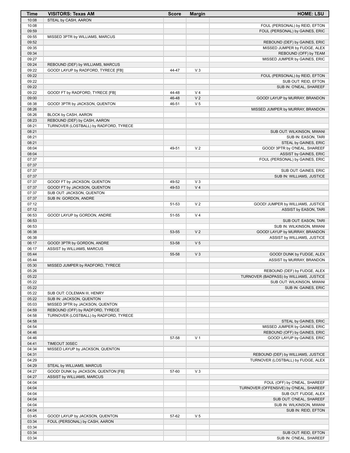| Time           | <b>VISITORS: Texas AM</b>              | <b>Score</b>   | <b>Margin</b>                    | <b>HOME: LSU</b>                                                        |
|----------------|----------------------------------------|----------------|----------------------------------|-------------------------------------------------------------------------|
| 10:08          | STEAL by CASH, AARON                   |                |                                  |                                                                         |
| 10:08          |                                        |                |                                  | FOUL (PERSONAL) by REID, EFTON                                          |
| 09:59<br>09:55 | MISSED 3PTR by WILLIAMS, MARCUS        |                |                                  | FOUL (PERSONAL) by GAINES, ERIC                                         |
| 09:52          |                                        |                |                                  | REBOUND (DEF) by GAINES, ERIC                                           |
| 09:35          |                                        |                |                                  | MISSED JUMPER by FUDGE, ALEX                                            |
| 09:34          |                                        |                |                                  | REBOUND (OFF) by TEAM                                                   |
| 09:27          |                                        |                |                                  | MISSED JUMPER by GAINES, ERIC                                           |
| 09:24          | REBOUND (DEF) by WILLIAMS, MARCUS      |                |                                  |                                                                         |
| 09:22          | GOOD! LAYUP by RADFORD, TYRECE [FB]    | 44-47          | $V_3$                            |                                                                         |
| 09:22          |                                        |                |                                  | FOUL (PERSONAL) by REID, EFTON                                          |
| 09:22          |                                        |                |                                  | SUB OUT: REID, EFTON                                                    |
| 09:22          |                                        |                |                                  | SUB IN: O'NEAL, SHAREEF                                                 |
| 09:22<br>09:00 | GOOD! FT by RADFORD, TYRECE [FB]       | 44-48<br>46-48 | V <sub>4</sub><br>V <sub>2</sub> | GOOD! LAYUP by MURRAY, BRANDON                                          |
| 08:38          | GOOD! 3PTR by JACKSON, QUENTON         | 46-51          | V <sub>5</sub>                   |                                                                         |
| 08:26          |                                        |                |                                  | MISSED JUMPER by MURRAY, BRANDON                                        |
| 08:26          | BLOCK by CASH, AARON                   |                |                                  |                                                                         |
| 08:23          | REBOUND (DEF) by CASH, AARON           |                |                                  |                                                                         |
| 08:21          | TURNOVER (LOSTBALL) by RADFORD, TYRECE |                |                                  |                                                                         |
| 08:21          |                                        |                |                                  | SUB OUT: WILKINSON, MWANI                                               |
| 08:21          |                                        |                |                                  | SUB IN: EASON, TARI                                                     |
| 08:21          |                                        |                |                                  | STEAL by GAINES, ERIC                                                   |
| 08:04          |                                        | 49-51          | V <sub>2</sub>                   | GOOD! 3PTR by O'NEAL, SHAREEF                                           |
| 08:04<br>07:37 |                                        |                |                                  | ASSIST by GAINES, ERIC<br>FOUL (PERSONAL) by GAINES, ERIC               |
| 07:37          |                                        |                |                                  |                                                                         |
| 07:37          |                                        |                |                                  | SUB OUT: GAINES, ERIC                                                   |
| 07:37          |                                        |                |                                  | SUB IN: WILLIAMS, JUSTICE                                               |
| 07:37          | GOOD! FT by JACKSON, QUENTON           | 49-52          | $V_3$                            |                                                                         |
| 07:37          | GOOD! FT by JACKSON, QUENTON           | 49-53          | V <sub>4</sub>                   |                                                                         |
| 07:37          | SUB OUT: JACKSON, QUENTON              |                |                                  |                                                                         |
| 07:37          | SUB IN: GORDON, ANDRE                  |                |                                  |                                                                         |
| 07:12          |                                        | 51-53          | V <sub>2</sub>                   | GOOD! JUMPER by WILLIAMS, JUSTICE                                       |
| 07:12          |                                        |                | V <sub>4</sub>                   | ASSIST by EASON, TARI                                                   |
| 06:53<br>06:53 | GOOD! LAYUP by GORDON, ANDRE           | 51-55          |                                  | SUB OUT: EASON, TARI                                                    |
| 06:53          |                                        |                |                                  | SUB IN: WILKINSON, MWANI                                                |
| 06:38          |                                        | 53-55          | V <sub>2</sub>                   | <b>GOOD! LAYUP by MURRAY, BRANDON</b>                                   |
| 06:38          |                                        |                |                                  | ASSIST by WILLIAMS, JUSTICE                                             |
| 06:17          | GOOD! 3PTR by GORDON, ANDRE            | 53-58          | V <sub>5</sub>                   |                                                                         |
| 06:17          | ASSIST by WILLIAMS, MARCUS             |                |                                  |                                                                         |
| 05:44          |                                        | 55-58          | $V_3$                            | GOOD! DUNK by FUDGE, ALEX                                               |
| 05:44          |                                        |                |                                  | ASSIST by MURRAY, BRANDON                                               |
| 05:30          | MISSED JUMPER by RADFORD, TYRECE       |                |                                  |                                                                         |
| 05:26<br>05:22 |                                        |                |                                  | REBOUND (DEF) by FUDGE, ALEX<br>TURNOVER (BADPASS) by WILLIAMS, JUSTICE |
| 05:22          |                                        |                |                                  | SUB OUT: WILKINSON, MWANI                                               |
| 05:22          |                                        |                |                                  | SUB IN: GAINES, ERIC                                                    |
| 05:22          | SUB OUT: COLEMAN III, HENRY            |                |                                  |                                                                         |
| 05:22          | SUB IN: JACKSON, QUENTON               |                |                                  |                                                                         |
| 05:03          | MISSED 3PTR by JACKSON, QUENTON        |                |                                  |                                                                         |
| 04:59          | REBOUND (OFF) by RADFORD, TYRECE       |                |                                  |                                                                         |
| 04:58          | TURNOVER (LOSTBALL) by RADFORD, TYRECE |                |                                  |                                                                         |
| 04:58          |                                        |                |                                  | STEAL by GAINES, ERIC                                                   |
| 04:54          |                                        |                |                                  | MISSED JUMPER by GAINES, ERIC                                           |
| 04:46          |                                        |                |                                  | REBOUND (OFF) by GAINES, ERIC                                           |
| 04:46<br>04:41 | TIMEOUT 30SEC                          | 57-58          | V <sub>1</sub>                   | GOOD! LAYUP by GAINES, ERIC                                             |
| 04:34          | MISSED LAYUP by JACKSON, QUENTON       |                |                                  |                                                                         |
| 04:31          |                                        |                |                                  | REBOUND (DEF) by WILLIAMS, JUSTICE                                      |
| 04:29          |                                        |                |                                  | TURNOVER (LOSTBALL) by FUDGE, ALEX                                      |
| 04:29          | STEAL by WILLIAMS, MARCUS              |                |                                  |                                                                         |
| 04:27          | GOOD! DUNK by JACKSON, QUENTON [FB]    | 57-60          | $V_3$                            |                                                                         |
| 04:27          | ASSIST by WILLIAMS, MARCUS             |                |                                  |                                                                         |
| 04:04          |                                        |                |                                  | FOUL (OFF) by O'NEAL, SHAREEF                                           |
| 04:04          |                                        |                |                                  | TURNOVER (OFFENSIVE) by O'NEAL, SHAREEF                                 |
| 04:04          |                                        |                |                                  | SUB OUT: FUDGE, ALEX                                                    |
| 04:04          |                                        |                |                                  | SUB OUT: O'NEAL, SHAREEF                                                |
| 04:04<br>04:04 |                                        |                |                                  | SUB IN: WILKINSON, MWANI                                                |
| 03:45          | GOOD! LAYUP by JACKSON, QUENTON        | 57-62          | V <sub>5</sub>                   | SUB IN: REID, EFTON                                                     |
| 03:34          | FOUL (PERSONAL) by CASH, AARON         |                |                                  |                                                                         |
| 03:34          |                                        |                |                                  |                                                                         |
| 03:34          |                                        |                |                                  | SUB OUT: REID, EFTON                                                    |
| 03:34          |                                        |                |                                  | SUB IN: O'NEAL, SHAREEF                                                 |
|                |                                        |                |                                  |                                                                         |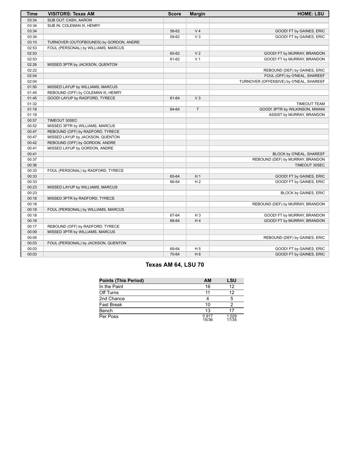| <b>Time</b> | <b>VISITORS: Texas AM</b>               | <b>Score</b> | <b>Margin</b>  | <b>HOME: LSU</b>                        |
|-------------|-----------------------------------------|--------------|----------------|-----------------------------------------|
| 03:34       | SUB OUT: CASH, AARON                    |              |                |                                         |
| 03:34       | SUB IN: COLEMAN III, HENRY              |              |                |                                         |
| 03:34       |                                         | 58-62        | V <sub>4</sub> | GOOD! FT by GAINES, ERIC                |
| 03:34       |                                         | 59-62        | V <sub>3</sub> | GOOD! FT by GAINES, ERIC                |
| 03:10       | TURNOVER (OUTOFBOUNDS) by GORDON, ANDRE |              |                |                                         |
| 02:53       | FOUL (PERSONAL) by WILLIAMS, MARCUS     |              |                |                                         |
| 02:53       |                                         | 60-62        | V <sub>2</sub> | GOOD! FT by MURRAY, BRANDON             |
| 02:53       |                                         | 61-62        | V <sub>1</sub> | GOOD! FT by MURRAY, BRANDON             |
| 02:26       | MISSED 3PTR by JACKSON, QUENTON         |              |                |                                         |
| 02:22       |                                         |              |                | REBOUND (DEF) by GAINES, ERIC           |
| 02:04       |                                         |              |                | FOUL (OFF) by O'NEAL, SHAREEF           |
| 02:04       |                                         |              |                | TURNOVER (OFFENSIVE) by O'NEAL, SHAREEF |
| 01:50       | MISSED LAYUP by WILLIAMS, MARCUS        |              |                |                                         |
| 01:45       | REBOUND (OFF) by COLEMAN III, HENRY     |              |                |                                         |
| 01:45       | GOOD! LAYUP by RADFORD, TYRECE          | 61-64        | V <sub>3</sub> |                                         |
| 01:32       |                                         |              |                | <b>TIMEOUT TEAM</b>                     |
| 01:18       |                                         | 64-64        | $\mathsf{T}$   | GOOD! 3PTR by WILKINSON, MWANI          |
| 01:18       |                                         |              |                | ASSIST by MURRAY, BRANDON               |
| 00:57       | TIMEOUT 30SEC                           |              |                |                                         |
| 00:52       | MISSED 3PTR by WILLIAMS, MARCUS         |              |                |                                         |
| 00:47       | REBOUND (OFF) by RADFORD, TYRECE        |              |                |                                         |
| 00:47       | MISSED LAYUP by JACKSON, QUENTON        |              |                |                                         |
| 00:42       | REBOUND (OFF) by GORDON, ANDRE          |              |                |                                         |
| 00:41       | MISSED LAYUP by GORDON, ANDRE           |              |                |                                         |
| 00:41       |                                         |              |                | BLOCK by O'NEAL, SHAREEF                |
| 00:37       |                                         |              |                | REBOUND (DEF) by MURRAY, BRANDON        |
| 00:36       |                                         |              |                | <b>TIMEOUT 30SEC</b>                    |
| 00:33       | FOUL (PERSONAL) by RADFORD, TYRECE      |              |                |                                         |
| 00:33       |                                         | 65-64        | H <sub>1</sub> | GOOD! FT by GAINES, ERIC                |
| 00:33       |                                         | 66-64        | H <sub>2</sub> | GOOD! FT by GAINES, ERIC                |
| 00:23       | MISSED LAYUP by WILLIAMS, MARCUS        |              |                |                                         |
| 00:23       |                                         |              |                | BLOCK by GAINES, ERIC                   |
| 00:18       | MISSED 3PTR by RADFORD, TYRECE          |              |                |                                         |
| 00:18       |                                         |              |                | REBOUND (DEF) by MURRAY, BRANDON        |
| 00:18       | FOUL (PERSONAL) by WILLIAMS, MARCUS     |              |                |                                         |
| 00:18       |                                         | 67-64        | $H_3$          | GOOD! FT by MURRAY, BRANDON             |
| 00:18       |                                         | 68-64        | H <sub>4</sub> | GOOD! FT by MURRAY, BRANDON             |
| 00:17       | REBOUND (OFF) by RADFORD, TYRECE        |              |                |                                         |
| 00:09       | MISSED 3PTR by WILLIAMS, MARCUS         |              |                |                                         |
| 00:05       |                                         |              |                | REBOUND (DEF) by GAINES, ERIC           |
| 00:03       | FOUL (PERSONAL) by JACKSON, QUENTON     |              |                |                                         |
| 00:03       |                                         | 69-64        | H <sub>5</sub> | GOOD! FT by GAINES, ERIC                |
| 00:03       |                                         | 70-64        | H <sub>6</sub> | GOOD! FT by GAINES, ERIC                |

# **Texas AM 64, LSU 70**

| <b>Points (This Period)</b> | <b>AM</b>      | LSU            |
|-----------------------------|----------------|----------------|
| In the Paint                | 16             | 12             |
| Off Turns                   | 11             | 12             |
| 2nd Chance                  |                | 5              |
| Fast Break                  | 10             |                |
| Bench                       | 13             | 17             |
| Per Poss                    | 0.917<br>15/36 | 1.029<br>17/35 |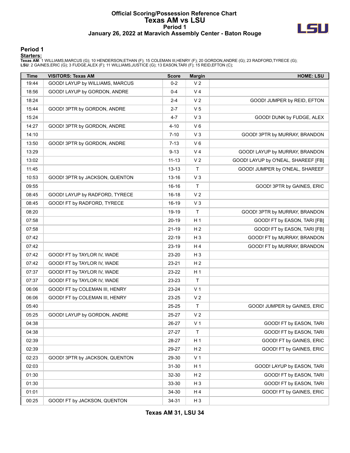### **Official Scoring/Possession Reference Chart Texas AM vs LSU Period 1 January 26, 2022 at Maravich Assembly Center - Baton Rouge**



**Period 1**

| <b>Time</b> | <b>VISITORS: Texas AM</b>       | <b>Score</b> | <b>Margin</b>  | <b>HOME: LSU</b>                    |
|-------------|---------------------------------|--------------|----------------|-------------------------------------|
| 19:44       | GOOD! LAYUP by WILLIAMS, MARCUS | $0 - 2$      | V <sub>2</sub> |                                     |
| 18:56       | GOOD! LAYUP by GORDON, ANDRE    | $0 - 4$      | V <sub>4</sub> |                                     |
| 18:24       |                                 | $2 - 4$      | V <sub>2</sub> | GOOD! JUMPER by REID, EFTON         |
| 15:44       | GOOD! 3PTR by GORDON, ANDRE     | $2 - 7$      | V <sub>5</sub> |                                     |
| 15:24       |                                 | 4-7          | V <sub>3</sub> | GOOD! DUNK by FUDGE, ALEX           |
| 14:27       | GOOD! 3PTR by GORDON, ANDRE     | 4-10         | $V_6$          |                                     |
| 14:10       |                                 | 7-10         | V <sub>3</sub> | GOOD! 3PTR by MURRAY, BRANDON       |
| 13:50       | GOOD! 3PTR by GORDON, ANDRE     | 7-13         | $V_6$          |                                     |
| 13:29       |                                 | $9 - 13$     | V <sub>4</sub> | GOOD! LAYUP by MURRAY, BRANDON      |
| 13:02       |                                 | $11 - 13$    | V <sub>2</sub> | GOOD! LAYUP by O'NEAL, SHAREEF [FB] |
| 11:45       |                                 | $13 - 13$    | $\mathsf T$    | GOOD! JUMPER by O'NEAL, SHAREEF     |
| 10:53       | GOOD! 3PTR by JACKSON, QUENTON  | 13-16        | V <sub>3</sub> |                                     |
| 09:55       |                                 | 16-16        | $\mathsf{T}$   | GOOD! 3PTR by GAINES, ERIC          |
| 08:45       | GOOD! LAYUP by RADFORD, TYRECE  | 16-18        | V <sub>2</sub> |                                     |
| 08:45       | GOOD! FT by RADFORD, TYRECE     | $16-19$      | $V_3$          |                                     |
| 08:20       |                                 | 19-19        | T              | GOOD! 3PTR by MURRAY, BRANDON       |
| 07:58       |                                 | 20-19        | H <sub>1</sub> | GOOD! FT by EASON, TARI [FB]        |
| 07:58       |                                 | 21-19        | H <sub>2</sub> | GOOD! FT by EASON, TARI [FB]        |
| 07:42       |                                 | 22-19        | $H_3$          | GOOD! FT by MURRAY, BRANDON         |
| 07:42       |                                 | 23-19        | H4             | GOOD! FT by MURRAY, BRANDON         |
| 07:42       | GOOD! FT by TAYLOR IV, WADE     | 23-20        | $H_3$          |                                     |
| 07:42       | GOOD! FT by TAYLOR IV, WADE     | 23-21        | H <sub>2</sub> |                                     |
| 07:37       | GOOD! FT by TAYLOR IV, WADE     | 23-22        | H <sub>1</sub> |                                     |
| 07:37       | GOOD! FT by TAYLOR IV, WADE     | 23-23        | T              |                                     |
| 06:06       | GOOD! FT by COLEMAN III, HENRY  | 23-24        | V <sub>1</sub> |                                     |
| 06:06       | GOOD! FT by COLEMAN III, HENRY  | 23-25        | V <sub>2</sub> |                                     |
| 05:40       |                                 | 25-25        | $\mathsf T$    | GOOD! JUMPER by GAINES, ERIC        |
| 05:25       | GOOD! LAYUP by GORDON, ANDRE    | 25-27        | V <sub>2</sub> |                                     |
| 04:38       |                                 | 26-27        | V <sub>1</sub> | GOOD! FT by EASON, TARI             |
| 04:38       |                                 | 27-27        | Т              | GOOD! FT by EASON, TARI             |
| 02:39       |                                 | 28-27        | H <sub>1</sub> | GOOD! FT by GAINES, ERIC            |
| 02:39       |                                 | 29-27        | H <sub>2</sub> | GOOD! FT by GAINES, ERIC            |
| 02:23       | GOOD! 3PTR by JACKSON, QUENTON  | 29-30        | V <sub>1</sub> |                                     |
| 02:03       |                                 | $31 - 30$    | H <sub>1</sub> | GOOD! LAYUP by EASON, TARI          |
| 01:30       |                                 | 32-30        | H <sub>2</sub> | GOOD! FT by EASON, TARI             |
| 01:30       |                                 | 33-30        | $H_3$          | GOOD! FT by EASON, TARI             |
| 01:01       |                                 | 34-30        | H 4            | GOOD! FT by GAINES, ERIC            |
| 00:25       | GOOD! FT by JACKSON, QUENTON    | 34-31        | $H_3$          |                                     |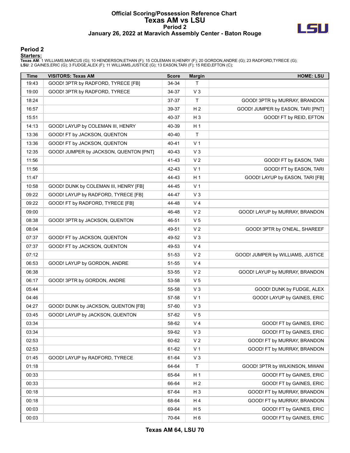### **Official Scoring/Possession Reference Chart Texas AM vs LSU Period 2 January 26, 2022 at Maravich Assembly Center - Baton Rouge**



#### **Period 2**

| <b>Time</b> | <b>VISITORS: Texas AM</b>              | <b>Score</b> | <b>Margin</b>  | <b>HOME: LSU</b>                  |
|-------------|----------------------------------------|--------------|----------------|-----------------------------------|
| 19:43       | GOOD! 3PTR by RADFORD, TYRECE [FB]     | 34-34        | T              |                                   |
| 19:00       | GOOD! 3PTR by RADFORD, TYRECE          | 34-37        | $V_3$          |                                   |
| 18:24       |                                        | 37-37        | T              | GOOD! 3PTR by MURRAY, BRANDON     |
| 16:57       |                                        | 39-37        | H <sub>2</sub> | GOOD! JUMPER by EASON, TARI [PNT] |
| 15:51       |                                        | 40-37        | $H_3$          | GOOD! FT by REID, EFTON           |
| 14:13       | GOOD! LAYUP by COLEMAN III, HENRY      | 40-39        | H <sub>1</sub> |                                   |
| 13:36       | GOOD! FT by JACKSON, QUENTON           | 40-40        | $\mathsf{T}$   |                                   |
| 13:36       | GOOD! FT by JACKSON, QUENTON           | 40-41        | V <sub>1</sub> |                                   |
| 12:35       | GOOD! JUMPER by JACKSON, QUENTON [PNT] | 40-43        | V <sub>3</sub> |                                   |
| 11:56       |                                        | 41-43        | V <sub>2</sub> | GOOD! FT by EASON, TARI           |
| 11:56       |                                        | 42-43        | V <sub>1</sub> | GOOD! FT by EASON, TARI           |
| 11:47       |                                        | 44-43        | H <sub>1</sub> | GOOD! LAYUP by EASON, TARI [FB]   |
| 10:58       | GOOD! DUNK by COLEMAN III, HENRY [FB]  | 44-45        | V <sub>1</sub> |                                   |
| 09:22       | GOOD! LAYUP by RADFORD, TYRECE [FB]    | 44-47        | $V_3$          |                                   |
| 09:22       | GOOD! FT by RADFORD, TYRECE [FB]       | 44-48        | V <sub>4</sub> |                                   |
| 09:00       |                                        | 46-48        | V <sub>2</sub> | GOOD! LAYUP by MURRAY, BRANDON    |
| 08:38       | GOOD! 3PTR by JACKSON, QUENTON         | 46-51        | V <sub>5</sub> |                                   |
| 08:04       |                                        | 49-51        | V <sub>2</sub> | GOOD! 3PTR by O'NEAL, SHAREEF     |
| 07:37       | GOOD! FT by JACKSON, QUENTON           | 49-52        | V <sub>3</sub> |                                   |
| 07:37       | GOOD! FT by JACKSON, QUENTON           | 49-53        | V <sub>4</sub> |                                   |
| 07:12       |                                        | 51-53        | V <sub>2</sub> | GOOD! JUMPER by WILLIAMS, JUSTICE |
| 06:53       | GOOD! LAYUP by GORDON, ANDRE           | 51-55        | V <sub>4</sub> |                                   |
| 06:38       |                                        | 53-55        | V <sub>2</sub> | GOOD! LAYUP by MURRAY, BRANDON    |
| 06:17       | GOOD! 3PTR by GORDON, ANDRE            | 53-58        | V <sub>5</sub> |                                   |
| 05:44       |                                        | 55-58        | $V_3$          | GOOD! DUNK by FUDGE, ALEX         |
| 04:46       |                                        | 57-58        | V <sub>1</sub> | GOOD! LAYUP by GAINES, ERIC       |
| 04:27       | GOOD! DUNK by JACKSON, QUENTON [FB]    | 57-60        | V <sub>3</sub> |                                   |
| 03:45       | GOOD! LAYUP by JACKSON, QUENTON        | 57-62        | V <sub>5</sub> |                                   |
| 03:34       |                                        | 58-62        | V <sub>4</sub> | GOOD! FT by GAINES, ERIC          |
| 03:34       |                                        | 59-62        | $V_3$          | GOOD! FT by GAINES, ERIC          |
| 02:53       |                                        | 60-62        | V <sub>2</sub> | GOOD! FT by MURRAY, BRANDON       |
| 02:53       |                                        | 61-62        | V <sub>1</sub> | GOOD! FT by MURRAY, BRANDON       |
| 01:45       | GOOD! LAYUP by RADFORD, TYRECE         | 61-64        | $V_3$          |                                   |
| 01:18       |                                        | 64-64        | $\mathsf{T}$   | GOOD! 3PTR by WILKINSON, MWANI    |
| 00:33       |                                        | 65-64        | H <sub>1</sub> | GOOD! FT by GAINES, ERIC          |
| 00:33       |                                        | 66-64        | H <sub>2</sub> | GOOD! FT by GAINES, ERIC          |
| 00:18       |                                        | 67-64        | H <sub>3</sub> | GOOD! FT by MURRAY, BRANDON       |
| 00:18       |                                        | 68-64        | H 4            | GOOD! FT by MURRAY, BRANDON       |
| 00:03       |                                        | 69-64        | H <sub>5</sub> | GOOD! FT by GAINES, ERIC          |
| 00:03       |                                        | 70-64        | H <sub>6</sub> | GOOD! FT by GAINES, ERIC          |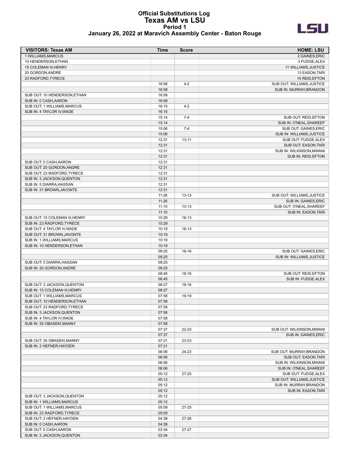#### **Official Substitutions Log Texas AM vs LSU Period 1 January 26, 2022 at Maravich Assembly Center - Baton Rouge**



| <b>VISITORS: Texas AM</b>                                   | <b>Time</b>    | <b>Score</b> | <b>HOME: LSU</b>                                      |
|-------------------------------------------------------------|----------------|--------------|-------------------------------------------------------|
| 1 WILLIAMS, MARCUS                                          |                |              | 2 GAINES, ERIC                                        |
| 10 HENDERSON, ETHAN                                         |                |              | 3 FUDGE, ALEX                                         |
| 15 COLEMAN III, HENRY                                       |                |              | 11 WILLIAMS, JUSTICE                                  |
| 20 GORDON, ANDRE                                            |                |              | 13 EASON, TARI                                        |
| 23 RADFORD, TYRECE                                          | 16:58          | $4 - 2$      | 15 REID, EFTON<br>SUB OUT: WILLIAMS, JUSTICE          |
|                                                             | 16:58          |              | SUB IN: MURRAY, BRANDON                               |
| SUB OUT: 10 HENDERSON, ETHAN                                | 16:58          |              |                                                       |
| SUB IN: 0 CASH, AARON                                       | 16:58          |              |                                                       |
| SUB OUT: 1 WILLIAMS, MARCUS                                 | 16:15          | $4 - 2$      |                                                       |
| SUB IN: 4 TAYLOR IV, WADE                                   | 16:15          |              |                                                       |
|                                                             | 15:14          | $7 - 4$      | SUB OUT: REID, EFTON                                  |
|                                                             | 15:14          |              | SUB IN: O'NEAL, SHAREEF                               |
|                                                             | 15:06          | $7 - 4$      | <b>SUB OUT: GAINES.ERIC</b>                           |
|                                                             | 15:06          |              | SUB IN: WILLIAMS, JUSTICE                             |
|                                                             | 12:31          | $13 - 11$    | SUB OUT: FUDGE, ALEX                                  |
|                                                             | 12:31          |              | SUB OUT: EASON, TARI                                  |
|                                                             | 12:31          |              | SUB IN: WILKINSON, MWANI                              |
| SUB OUT: 0 CASH, AARON                                      | 12:31<br>12:31 |              | SUB IN: REID, EFTON                                   |
| SUB OUT: 20 GORDON, ANDRE                                   | 12:31          |              |                                                       |
| SUB OUT: 23 RADFORD, TYRECE                                 | 12:31          |              |                                                       |
| SUB IN: 3 JACKSON, QUENTON                                  | 12:31          |              |                                                       |
| SUB IN: 5 DIARRA, HASSAN                                    | 12:31          |              |                                                       |
| SUB IN: 31 BROWN, JAVONTE                                   | 12:31          |              |                                                       |
|                                                             | 11:26          | $13 - 13$    | SUB OUT: WILLIAMS, JUSTICE                            |
|                                                             | 11:26          |              | SUB IN: GAINES, ERIC                                  |
|                                                             | 11:10          | $13 - 13$    | SUB OUT: O'NEAL, SHAREEF                              |
|                                                             | 11:10          |              | SUB IN: EASON, TARI                                   |
| SUB OUT: 15 COLEMAN III, HENRY                              | 10:29          | $16-13$      |                                                       |
| SUB IN: 23 RADFORD, TYRECE                                  | 10:29          |              |                                                       |
| SUB OUT: 4 TAYLOR IV, WADE                                  | 10:19          | 16-13        |                                                       |
| SUB OUT: 31 BROWN, JAVONTE<br>SUB IN: 1 WILLIAMS, MARCUS    | 10:19<br>10:19 |              |                                                       |
| SUB IN: 10 HENDERSON, ETHAN                                 | 10:19          |              |                                                       |
|                                                             | 09:25          | $16-16$      | SUB OUT: GAINES, ERIC                                 |
|                                                             | 09:25          |              | SUB IN: WILLIAMS, JUSTICE                             |
| SUB OUT: 5 DIARRA, HASSAN                                   | 09:25          |              |                                                       |
| SUB IN: 20 GORDON, ANDRE                                    | 09:25          |              |                                                       |
|                                                             | 08:45          | 18-16        | SUB OUT: REID, EFTON                                  |
|                                                             | 08:45          |              | SUB IN: FUDGE, ALEX                                   |
| SUB OUT: 3 JACKSON, QUENTON                                 | 08:27          | 19-16        |                                                       |
| SUB IN: 15 COLEMAN III, HENRY                               | 08:27          |              |                                                       |
| SUB OUT: 1 WILLIAMS, MARCUS                                 | 07:58          | 19-19        |                                                       |
| SUB OUT: 10 HENDERSON, ETHAN<br>SUB OUT: 23 RADFORD, TYRECE | 07:58          |              |                                                       |
| SUB IN: 3 JACKSON, QUENTON                                  | 07:58<br>07:58 |              |                                                       |
| SUB IN: 4 TAYLOR IV, WADE                                   | 07:58          |              |                                                       |
| SUB IN: 35 OBASEKI, MANNY                                   | 07:58          |              |                                                       |
|                                                             | 07:37          | 22-23        | SUB OUT: WILKINSON, MWANI                             |
|                                                             | 07:37          |              | SUB IN: GAINES, ERIC                                  |
| SUB OUT: 35 OBASEKI, MANNY                                  | 07:21          | 23-23        |                                                       |
| SUB IN: 2 HEFNER, HAYDEN                                    | 07:21          |              |                                                       |
|                                                             | 06:06          | 24-23        | SUB OUT: MURRAY, BRANDON                              |
|                                                             | 06:06          |              | SUB OUT: EASON, TARI                                  |
|                                                             | 06:06          |              | SUB IN: WILKINSON, MWANI                              |
|                                                             | 06:06          |              | SUB IN: O'NEAL, SHAREEF                               |
|                                                             | 05:12          | 27-25        | SUB OUT: FUDGE, ALEX                                  |
|                                                             | 05:12<br>05:12 |              | SUB OUT: WILLIAMS, JUSTICE<br>SUB IN: MURRAY, BRANDON |
|                                                             | 05:12          |              | SUB IN: EASON, TARI                                   |
| SUB OUT: 3 JACKSON, QUENTON                                 | 05:12          |              |                                                       |
| SUB IN: 1 WILLIAMS, MARCUS                                  | 05:12          |              |                                                       |
| SUB OUT: 1 WILLIAMS, MARCUS                                 | 05:09          | $27 - 25$    |                                                       |
| SUB IN: 23 RADFORD, TYRECE                                  | 05:09          |              |                                                       |
| SUB OUT: 2 HEFNER, HAYDEN                                   | 04:38          | 27-26        |                                                       |
| SUB IN: 0 CASH, AARON                                       | 04:38          |              |                                                       |
| SUB OUT: 0 CASH, AARON                                      | 03:34          | 27-27        |                                                       |
| SUB IN: 3 JACKSON, QUENTON                                  | 03:34          |              |                                                       |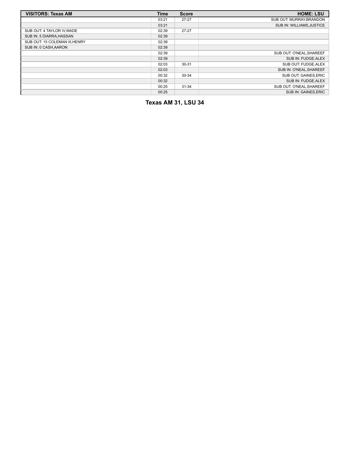| <b>VISITORS: Texas AM</b>      | Time  | <b>Score</b> | <b>HOME: LSU</b>          |
|--------------------------------|-------|--------------|---------------------------|
|                                | 03:21 | $27 - 27$    | SUB OUT: MURRAY, BRANDON  |
|                                | 03:21 |              | SUB IN: WILLIAMS, JUSTICE |
| SUB OUT: 4 TAYLOR IV, WADE     | 02:39 | $27 - 27$    |                           |
| SUB IN: 5 DIARRA, HASSAN       | 02:39 |              |                           |
| SUB OUT: 15 COLEMAN III, HENRY | 02:39 |              |                           |
| SUB IN: 0 CASH, AARON          | 02:39 |              |                           |
|                                | 02:39 |              | SUB OUT: O'NEAL, SHAREEF  |
|                                | 02:39 |              | SUB IN: FUDGE, ALEX       |
|                                | 02:03 | $30 - 31$    | SUB OUT: FUDGE, ALEX      |
|                                | 02:03 |              | SUB IN: O'NEAL, SHAREEF   |
|                                | 00:32 | 30-34        | SUB OUT: GAINES, ERIC     |
|                                | 00:32 |              | SUB IN: FUDGE, ALEX       |
|                                | 00:25 | 31-34        | SUB OUT: O'NEAL, SHAREEF  |
|                                | 00:25 |              | SUB IN: GAINES.ERIC       |

**Texas AM 31, LSU 34**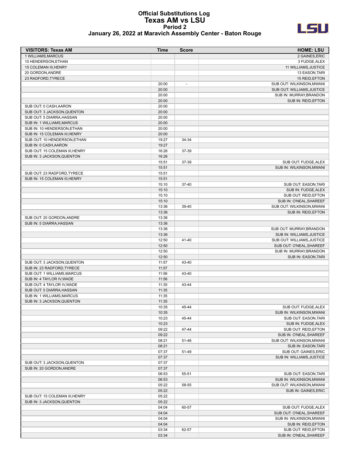#### **Official Substitutions Log Texas AM vs LSU Period 2 January 26, 2022 at Maravich Assembly Center - Baton Rouge**



| <b>VISITORS: Texas AM</b>      | Time           | <b>Score</b>             | <b>HOME: LSU</b>                             |
|--------------------------------|----------------|--------------------------|----------------------------------------------|
| 1 WILLIAMS, MARCUS             |                |                          | 2 GAINES, ERIC                               |
| 10 HENDERSON, ETHAN            |                |                          | 3 FUDGE, ALEX                                |
| 15 COLEMAN III, HENRY          |                |                          | 11 WILLIAMS, JUSTICE                         |
| 20 GORDON, ANDRE               |                |                          | 13 EASON, TARI                               |
| 23 RADFORD, TYRECE             |                |                          | 15 REID, EFTON                               |
|                                | 20:00          | $\overline{\phantom{a}}$ | SUB OUT: WILKINSON, MWANI                    |
|                                | 20:00          |                          | SUB OUT: WILLIAMS, JUSTICE                   |
|                                | 20:00          |                          | SUB IN: MURRAY, BRANDON                      |
|                                | 20:00          |                          | SUB IN: REID, EFTON                          |
| SUB OUT: 0 CASH, AARON         | 20:00          |                          |                                              |
| SUB OUT: 3 JACKSON, QUENTON    | 20:00          |                          |                                              |
| SUB OUT: 5 DIARRA, HASSAN      | 20:00          |                          |                                              |
| SUB IN: 1 WILLIAMS, MARCUS     | 20:00          |                          |                                              |
| SUB IN: 10 HENDERSON, ETHAN    | 20:00          |                          |                                              |
| SUB IN: 15 COLEMAN III, HENRY  | 20:00          |                          |                                              |
| SUB OUT: 10 HENDERSON, ETHAN   | 19:27          | 34-34                    |                                              |
| SUB IN: 0 CASH, AARON          | 19:27          |                          |                                              |
| SUB OUT: 15 COLEMAN III, HENRY | 16:26          | 37-39                    |                                              |
| SUB IN: 3 JACKSON, QUENTON     | 16:26          |                          |                                              |
|                                | 15:51          | 37-39                    | SUB OUT: FUDGE, ALEX                         |
|                                | 15:51          |                          | SUB IN: WILKINSON, MWANI                     |
| SUB OUT: 23 RADFORD, TYRECE    | 15:51          |                          |                                              |
| SUB IN: 15 COLEMAN III, HENRY  | 15:51          |                          |                                              |
|                                | 15:10          | 37-40                    | SUB OUT: EASON, TARI                         |
|                                | 15:10          |                          | SUB IN: FUDGE, ALEX                          |
|                                | 15:10          |                          | SUB OUT: REID, EFTON                         |
|                                | 15:10          |                          | SUB IN: O'NEAL, SHAREEF                      |
|                                | 13:36          | 39-40                    | SUB OUT: WILKINSON, MWANI                    |
|                                | 13:36          |                          | SUB IN: REID, EFTON                          |
| SUB OUT: 20 GORDON, ANDRE      | 13:36          |                          |                                              |
| SUB IN: 5 DIARRA, HASSAN       | 13:36          |                          |                                              |
|                                | 13:36          |                          | SUB OUT: MURRAY, BRANDON                     |
|                                | 13:36          |                          | SUB IN: WILLIAMS, JUSTICE                    |
|                                | 12:50          | 41-40                    | SUB OUT: WILLIAMS, JUSTICE                   |
|                                | 12:50          |                          | SUB OUT: O'NEAL, SHAREEF                     |
|                                | 12:50          |                          | SUB IN: MURRAY, BRANDON                      |
|                                | 12:50          |                          | SUB IN: EASON, TARI                          |
| SUB OUT: 3 JACKSON, QUENTON    | 11:57          | 43-40                    |                                              |
| SUB IN: 23 RADFORD, TYRECE     | 11:57          |                          |                                              |
| SUB OUT: 1 WILLIAMS.MARCUS     | 11:56          | 43-40                    |                                              |
| SUB IN: 4 TAYLOR IV, WADE      | 11:56          |                          |                                              |
| SUB OUT: 4 TAYLOR IV, WADE     | 11:35          | 43-44                    |                                              |
| SUB OUT: 5 DIARRA, HASSAN      | 11:35          |                          |                                              |
| SUB IN: 1 WILLIAMS, MARCUS     | 11:35          |                          |                                              |
| SUB IN: 3 JACKSON, QUENTON     | 11:35          |                          |                                              |
|                                | 10:35          | 45-44                    | SUB OUT: FUDGE, ALEX                         |
|                                | 10:35          |                          | SUB IN: WILKINSON, MWANI                     |
|                                | 10:23          | 45-44                    | SUB OUT: EASON, TARI                         |
|                                | 10:23<br>09:22 | 47-44                    | SUB IN: FUDGE, ALEX<br>SUB OUT: REID, EFTON  |
|                                | 09:22          |                          | SUB IN: O'NEAL, SHAREEF                      |
|                                | 08:21          | 51-46                    | SUB OUT: WILKINSON, MWANI                    |
|                                | 08:21          |                          |                                              |
|                                | 07:37          | 51-49                    | SUB IN: EASON, TARI<br>SUB OUT: GAINES, ERIC |
|                                | 07:37          |                          | SUB IN: WILLIAMS, JUSTICE                    |
| SUB OUT: 3 JACKSON, QUENTON    | 07:37          |                          |                                              |
| SUB IN: 20 GORDON, ANDRE       | 07:37          |                          |                                              |
|                                | 06:53          | 55-51                    | SUB OUT: EASON, TARI                         |
|                                | 06:53          |                          | SUB IN: WILKINSON, MWANI                     |
|                                | 05:22          | 58-55                    | SUB OUT: WILKINSON, MWANI                    |
|                                | 05:22          |                          | SUB IN: GAINES, ERIC                         |
| SUB OUT: 15 COLEMAN III, HENRY | 05:22          |                          |                                              |
| SUB IN: 3 JACKSON, QUENTON     | 05:22          |                          |                                              |
|                                | 04:04          | 60-57                    | SUB OUT: FUDGE, ALEX                         |
|                                | 04:04          |                          | SUB OUT: O'NEAL, SHAREEF                     |
|                                | 04:04          |                          | SUB IN: WILKINSON, MWANI                     |
|                                | 04:04          |                          | SUB IN: REID, EFTON                          |
|                                | 03:34          | 62-57                    | SUB OUT: REID, EFTON                         |
|                                | 03:34          |                          | SUB IN: O'NEAL, SHAREEF                      |
|                                |                |                          |                                              |